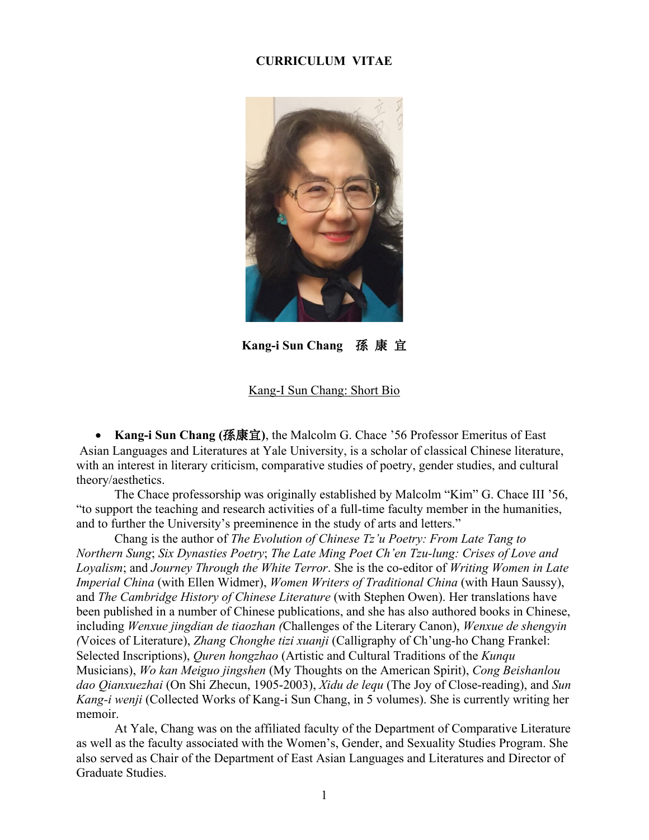## **CURRICULUM VITAE**



**Kang-i Sun Chang** 孫 康 宜

### Kang-I Sun Chang: Short Bio

• **Kang-i Sun Chang (**孫康宜**)**, the Malcolm G. Chace '56 Professor Emeritus of East Asian Languages and Literatures at Yale University, is a scholar of classical Chinese literature, with an interest in literary criticism, comparative studies of poetry, gender studies, and cultural theory/aesthetics.

The Chace professorship was originally established by Malcolm "Kim" G. Chace III '56, "to support the teaching and research activities of a full-time faculty member in the humanities, and to further the University's preeminence in the study of arts and letters."

Chang is the author of *The Evolution of Chinese Tz'u Poetry: From Late Tang to Northern Sung*; *Six Dynasties Poetry*; *The Late Ming Poet Ch'en Tzu-lung: Crises of Love and Loyalism*; and *Journey Through the White Terror*. She is the co-editor of *Writing Women in Late Imperial China* (with Ellen Widmer), *Women Writers of Traditional China* (with Haun Saussy), and *The Cambridge History of Chinese Literature* (with Stephen Owen). Her translations have been published in a number of Chinese publications, and she has also authored books in Chinese, including *Wenxue jingdian de tiaozhan (*Challenges of the Literary Canon), *Wenxue de shengyin (*Voices of Literature), *Zhang Chonghe tizi xuanji* (Calligraphy of Ch'ung-ho Chang Frankel: Selected Inscriptions), *Quren hongzhao* (Artistic and Cultural Traditions of the *Kunqu* Musicians), *Wo kan Meiguo jingshen* (My Thoughts on the American Spirit), *Cong Beishanlou dao Qianxuezhai* (On Shi Zhecun, 1905-2003), *Xidu de lequ* (The Joy of Close-reading), and *Sun Kang-i wenji* (Collected Works of Kang-i Sun Chang, in 5 volumes). She is currently writing her memoir.

At Yale, Chang was on the affiliated faculty of the Department of Comparative Literature as well as the faculty associated with the Women's, Gender, and Sexuality Studies Program. She also served as Chair of the Department of East Asian Languages and Literatures and Director of Graduate Studies.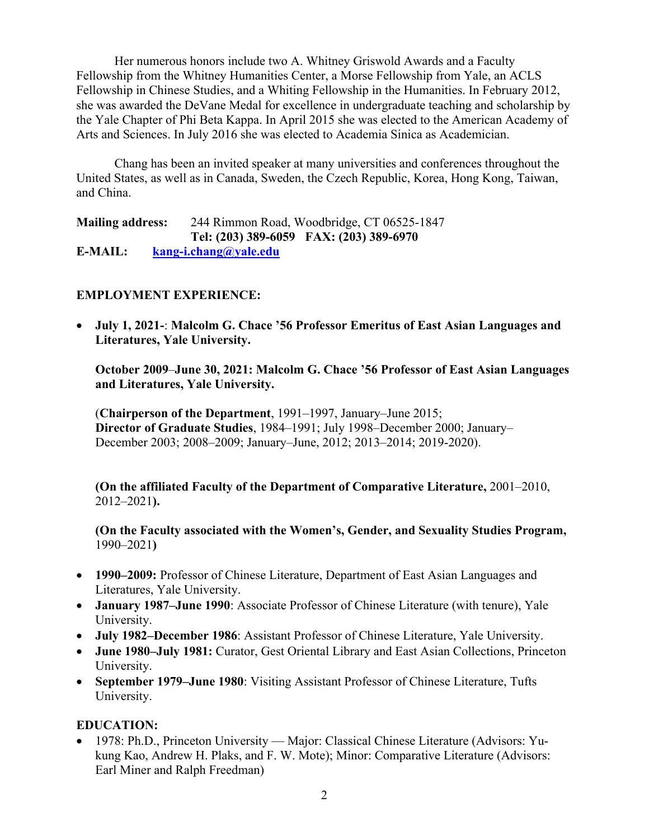Her numerous honors include two A. Whitney Griswold Awards and a Faculty Fellowship from the Whitney Humanities Center, a Morse Fellowship from Yale, an ACLS Fellowship in Chinese Studies, and a Whiting Fellowship in the Humanities. In February 2012, she was awarded the DeVane Medal for excellence in undergraduate teaching and scholarship by the Yale Chapter of Phi Beta Kappa. In April 2015 she was elected to the American Academy of Arts and Sciences. In July 2016 she was elected to Academia Sinica as Academician.

Chang has been an invited speaker at many universities and conferences throughout the United States, as well as in Canada, Sweden, the Czech Republic, Korea, Hong Kong, Taiwan, and China.

**Mailing address:** 244 Rimmon Road, Woodbridge, CT 06525-1847 **Tel: (203) 389-6059 FAX: (203) 389-6970 E-MAIL: [kang-i.chang@yale.edu](mailto:kang-i.chang@yale.edu)**

# **EMPLOYMENT EXPERIENCE:**

• **July 1, 2021-**: **Malcolm G. Chace '56 Professor Emeritus of East Asian Languages and Literatures, Yale University.**

**October 2009**–**June 30, 2021: Malcolm G. Chace '56 Professor of East Asian Languages and Literatures, Yale University.**

(**Chairperson of the Department**, 1991–1997, January–June 2015; **Director of Graduate Studies**, 1984–1991; July 1998–December 2000; January– December 2003; 2008–2009; January–June, 2012; 2013–2014; 2019-2020).

**(On the affiliated Faculty of the Department of Comparative Literature,** 2001–2010, 2012–2021**).**

**(On the Faculty associated with the Women's, Gender, and Sexuality Studies Program,**  1990–2021**)**

- **1990–2009:** Professor of Chinese Literature, Department of East Asian Languages and Literatures, Yale University.
- **January 1987–June 1990**: Associate Professor of Chinese Literature (with tenure), Yale University.
- **July 1982–December 1986**: Assistant Professor of Chinese Literature, Yale University.
- **June 1980–July 1981:** Curator, Gest Oriental Library and East Asian Collections, Princeton University.
- **September 1979–June 1980**: Visiting Assistant Professor of Chinese Literature, Tufts University.

# **EDUCATION:**

• 1978: Ph.D., Princeton University — Major: Classical Chinese Literature (Advisors: Yukung Kao, Andrew H. Plaks, and F. W. Mote); Minor: Comparative Literature (Advisors: Earl Miner and Ralph Freedman)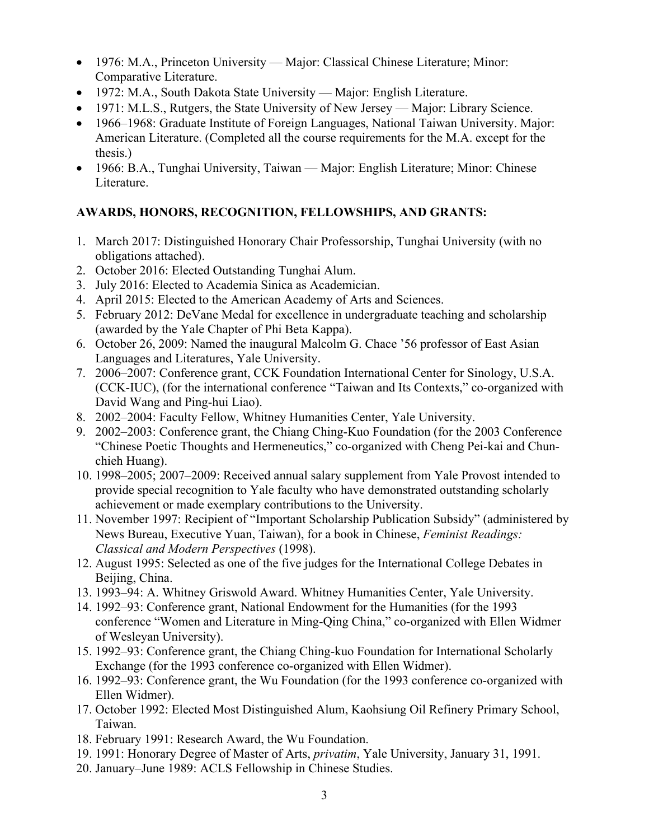- 1976: M.A., Princeton University Major: Classical Chinese Literature; Minor: Comparative Literature.
- 1972: M.A., South Dakota State University Major: English Literature.
- 1971: M.L.S., Rutgers, the State University of New Jersey Major: Library Science.
- 1966–1968: Graduate Institute of Foreign Languages, National Taiwan University. Major: American Literature. (Completed all the course requirements for the M.A. except for the thesis.)
- 1966: B.A., Tunghai University, Taiwan Major: English Literature; Minor: Chinese Literature.

# **AWARDS, HONORS, RECOGNITION, FELLOWSHIPS, AND GRANTS:**

- 1. March 2017: Distinguished Honorary Chair Professorship, Tunghai University (with no obligations attached).
- 2. October 2016: Elected Outstanding Tunghai Alum.
- 3. July 2016: Elected to Academia Sinica as Academician.
- 4. April 2015: Elected to the American Academy of Arts and Sciences.
- 5. February 2012: DeVane Medal for excellence in undergraduate teaching and scholarship (awarded by the Yale Chapter of Phi Beta Kappa).
- 6. October 26, 2009: Named the inaugural Malcolm G. Chace '56 professor of East Asian Languages and Literatures, Yale University.
- 7. 2006–2007: Conference grant, CCK Foundation International Center for Sinology, U.S.A. (CCK-IUC), (for the international conference "Taiwan and Its Contexts," co-organized with David Wang and Ping-hui Liao).
- 8. 2002–2004: Faculty Fellow, Whitney Humanities Center, Yale University.
- 9. 2002–2003: Conference grant, the Chiang Ching-Kuo Foundation (for the 2003 Conference "Chinese Poetic Thoughts and Hermeneutics," co-organized with Cheng Pei-kai and Chunchieh Huang).
- 10. 1998–2005; 2007–2009: Received annual salary supplement from Yale Provost intended to provide special recognition to Yale faculty who have demonstrated outstanding scholarly achievement or made exemplary contributions to the University.
- 11. November 1997: Recipient of "Important Scholarship Publication Subsidy" (administered by News Bureau, Executive Yuan, Taiwan), for a book in Chinese, *Feminist Readings: Classical and Modern Perspectives* (1998).
- 12. August 1995: Selected as one of the five judges for the International College Debates in Beijing, China.
- 13. 1993–94: A. Whitney Griswold Award. Whitney Humanities Center, Yale University.
- 14. 1992–93: Conference grant, National Endowment for the Humanities (for the 1993 conference "Women and Literature in Ming-Qing China," co-organized with Ellen Widmer of Wesleyan University).
- 15. 1992–93: Conference grant, the Chiang Ching-kuo Foundation for International Scholarly Exchange (for the 1993 conference co-organized with Ellen Widmer).
- 16. 1992–93: Conference grant, the Wu Foundation (for the 1993 conference co-organized with Ellen Widmer).
- 17. October 1992: Elected Most Distinguished Alum, Kaohsiung Oil Refinery Primary School, Taiwan.
- 18. February 1991: Research Award, the Wu Foundation.
- 19. 1991: Honorary Degree of Master of Arts, *privatim*, Yale University, January 31, 1991.
- 20. January–June 1989: ACLS Fellowship in Chinese Studies.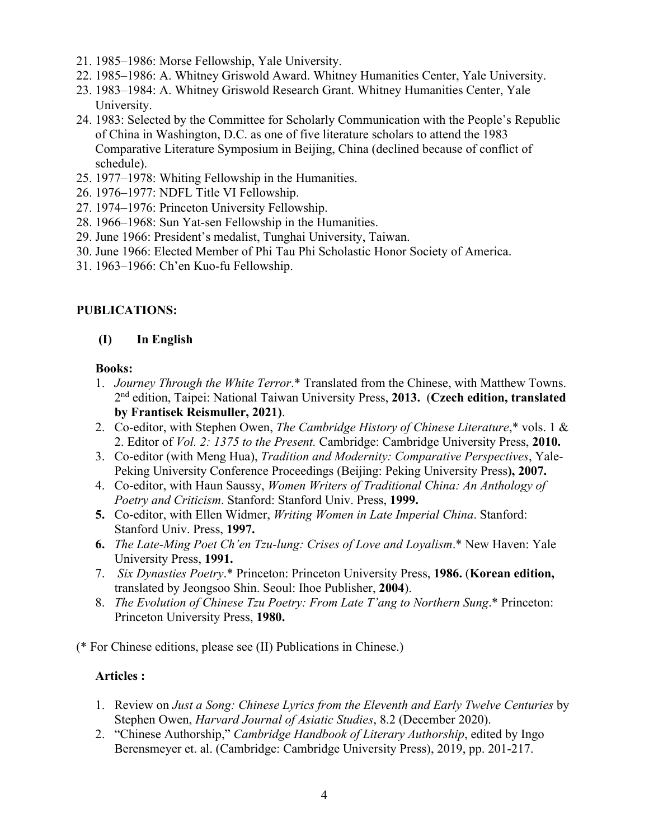- 21. 1985–1986: Morse Fellowship, Yale University.
- 22. 1985–1986: A. Whitney Griswold Award. Whitney Humanities Center, Yale University.
- 23. 1983–1984: A. Whitney Griswold Research Grant. Whitney Humanities Center, Yale University.
- 24. 1983: Selected by the Committee for Scholarly Communication with the People's Republic of China in Washington, D.C. as one of five literature scholars to attend the 1983 Comparative Literature Symposium in Beijing, China (declined because of conflict of schedule).
- 25. 1977–1978: Whiting Fellowship in the Humanities.
- 26. 1976–1977: NDFL Title VI Fellowship.
- 27. 1974–1976: Princeton University Fellowship.
- 28. 1966–1968: Sun Yat-sen Fellowship in the Humanities.
- 29. June 1966: President's medalist, Tunghai University, Taiwan.
- 30. June 1966: Elected Member of Phi Tau Phi Scholastic Honor Society of America.
- 31. 1963–1966: Ch'en Kuo-fu Fellowship.

### **PUBLICATIONS:**

### **(I) In English**

#### **Books:**

- 1. *Journey Through the White Terror*.\* Translated from the Chinese, with Matthew Towns. 2nd edition, Taipei: National Taiwan University Press, **2013.** (**Czech edition, translated by Frantisek Reismuller, 2021)**.
- 2. Co-editor, with Stephen Owen, *The Cambridge History of Chinese Literature*,\* vols. 1 & 2. Editor of *Vol. 2: 1375 to the Present.* Cambridge: Cambridge University Press, **2010.**
- 3. Co-editor (with Meng Hua), *Tradition and Modernity: Comparative Perspectives*, Yale-Peking University Conference Proceedings (Beijing: Peking University Press**), 2007.**
- 4. Co-editor, with Haun Saussy, *Women Writers of Traditional China: An Anthology of Poetry and Criticism*. Stanford: Stanford Univ. Press, **1999.**
- **5.** Co-editor, with Ellen Widmer, *Writing Women in Late Imperial China*. Stanford: Stanford Univ. Press, **1997.**
- **6.** *The Late-Ming Poet Ch'en Tzu-lung: Crises of Love and Loyalism*.\* New Haven: Yale University Press, **1991.**
- 7. *Six Dynasties Poetry*.\* Princeton: Princeton University Press, **1986.** (**Korean edition,** translated by Jeongsoo Shin. Seoul: Ihoe Publisher, **2004**).
- 8. *The Evolution of Chinese Tzu Poetry: From Late T'ang to Northern Sung*.\* Princeton: Princeton University Press, **1980.**

(\* For Chinese editions, please see (II) Publications in Chinese.)

## **Articles :**

- 1. Review on *Just a Song: Chinese Lyrics from the Eleventh and Early Twelve Centuries* by Stephen Owen, *Harvard Journal of Asiatic Studies*, 8.2 (December 2020).
- 2. "Chinese Authorship," *Cambridge Handbook of Literary Authorship*, edited by Ingo Berensmeyer et. al. (Cambridge: Cambridge University Press), 2019, pp. 201-217.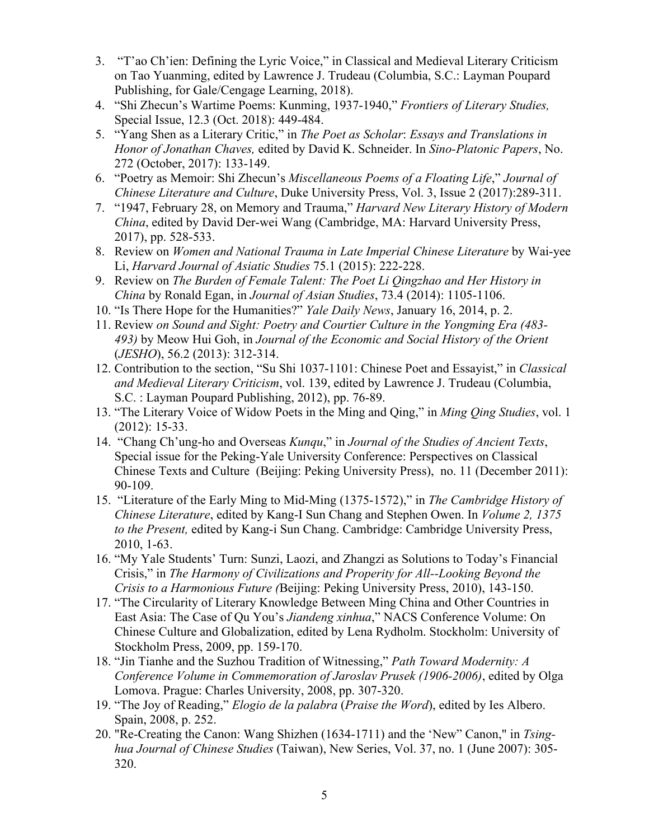- 3. "T'ao Ch'ien: Defining the Lyric Voice," in Classical and Medieval Literary Criticism on Tao Yuanming, edited by Lawrence J. Trudeau (Columbia, S.C.: Layman Poupard Publishing, for Gale/Cengage Learning, 2018).
- 4. "Shi Zhecun's Wartime Poems: Kunming, 1937-1940," *Frontiers of Literary Studies,* Special Issue, 12.3 (Oct. 2018): 449-484.
- 5. "Yang Shen as a Literary Critic," in *The Poet as Scholar*: *Essays and Translations in Honor of Jonathan Chaves,* edited by David K. Schneider. In *Sino-Platonic Papers*, No. 272 (October, 2017): 133-149.
- 6. "Poetry as Memoir: Shi Zhecun's *Miscellaneous Poems of a Floating Life*," *Journal of Chinese Literature and Culture*, Duke University Press, Vol. 3, Issue 2 (2017):289-311.
- 7. "1947, February 28, on Memory and Trauma," *Harvard New Literary History of Modern China*, edited by David Der-wei Wang (Cambridge, MA: Harvard University Press, 2017), pp. 528-533.
- 8. Review on *Women and National Trauma in Late Imperial Chinese Literature* by Wai-yee Li, *Harvard Journal of Asiatic Studies* 75.1 (2015): 222-228.
- 9. Review on *The Burden of Female Talent: The Poet Li Qingzhao and Her History in China* by Ronald Egan, in *Journal of Asian Studies*, 73.4 (2014): 1105-1106.
- 10. "Is There Hope for the Humanities?" *Yale Daily News*, January 16, 2014, p. 2.
- 11. Review *on Sound and Sight: Poetry and Courtier Culture in the Yongming Era (483- 493)* by Meow Hui Goh, in *Journal of the Economic and Social History of the Orient* (*JESHO*), 56.2 (2013): 312-314.
- 12. Contribution to the section, "Su Shi 1037-1101: Chinese Poet and Essayist," in *Classical and Medieval Literary Criticism*, vol. 139, edited by Lawrence J. Trudeau (Columbia, S.C. : Layman Poupard Publishing, 2012), pp. 76-89.
- 13. "The Literary Voice of Widow Poets in the Ming and Qing," in *Ming Qing Studies*, vol. 1 (2012): 15-33.
- 14. "Chang Ch'ung-ho and Overseas *Kunqu*," in *Journal of the Studies of Ancient Texts*, Special issue for the Peking-Yale University Conference: Perspectives on Classical Chinese Texts and Culture (Beijing: Peking University Press), no. 11 (December 2011): 90-109.
- 15. "Literature of the Early Ming to Mid-Ming (1375-1572)," in *The Cambridge History of Chinese Literature*, edited by Kang-I Sun Chang and Stephen Owen. In *Volume 2, 1375 to the Present,* edited by Kang-i Sun Chang. Cambridge: Cambridge University Press, 2010, 1-63.
- 16. "My Yale Students' Turn: Sunzi, Laozi, and Zhangzi as Solutions to Today's Financial Crisis," in *The Harmony of Civilizations and Properity for All--Looking Beyond the Crisis to a Harmonious Future (*Beijing: Peking University Press, 2010), 143-150.
- 17. "The Circularity of Literary Knowledge Between Ming China and Other Countries in East Asia: The Case of Qu You's *Jiandeng xinhua*," NACS Conference Volume: On Chinese Culture and Globalization, edited by Lena Rydholm. Stockholm: University of Stockholm Press, 2009, pp. 159-170.
- 18. "Jin Tianhe and the Suzhou Tradition of Witnessing," *Path Toward Modernity: A Conference Volume in Commemoration of Jaroslav Prusek (1906-2006)*, edited by Olga Lomova. Prague: Charles University, 2008, pp. 307-320.
- 19. "The Joy of Reading," *Elogio de la palabra* (*Praise the Word*), edited by Ies Albero. Spain, 2008, p. 252.
- 20. "Re-Creating the Canon: Wang Shizhen (1634-1711) and the 'New" Canon," in *Tsinghua Journal of Chinese Studies* (Taiwan), New Series, Vol. 37, no. 1 (June 2007): 305- 320.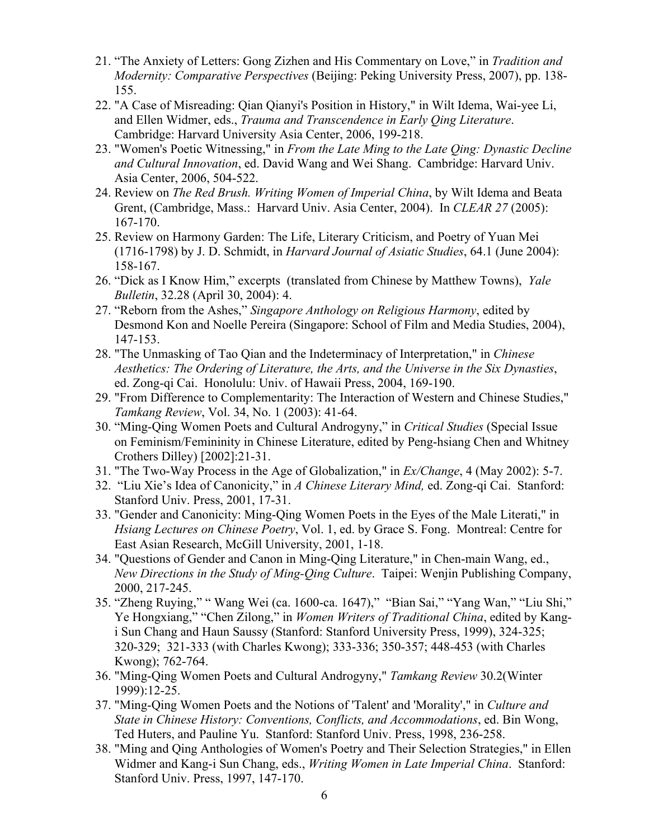- 21. "The Anxiety of Letters: Gong Zizhen and His Commentary on Love," in *Tradition and Modernity: Comparative Perspectives* (Beijing: Peking University Press, 2007), pp. 138- 155.
- 22. "A Case of Misreading: Qian Qianyi's Position in History," in Wilt Idema, Wai-yee Li, and Ellen Widmer, eds., *Trauma and Transcendence in Early Qing Literature*. Cambridge: Harvard University Asia Center, 2006, 199-218.
- 23. "Women's Poetic Witnessing," in *From the Late Ming to the Late Qing: Dynastic Decline and Cultural Innovation*, ed. David Wang and Wei Shang. Cambridge: Harvard Univ. Asia Center, 2006, 504-522.
- 24. Review on *The Red Brush. Writing Women of Imperial China*, by Wilt Idema and Beata Grent, (Cambridge, Mass.: Harvard Univ. Asia Center, 2004). In *CLEAR 27* (2005): 167-170.
- 25. Review on Harmony Garden: The Life, Literary Criticism, and Poetry of Yuan Mei (1716-1798) by J. D. Schmidt, in *Harvard Journal of Asiatic Studies*, 64.1 (June 2004): 158-167.
- 26. "Dick as I Know Him," excerpts (translated from Chinese by Matthew Towns), *Yale Bulletin*, 32.28 (April 30, 2004): 4.
- 27. "Reborn from the Ashes," *Singapore Anthology on Religious Harmony*, edited by Desmond Kon and Noelle Pereira (Singapore: School of Film and Media Studies, 2004), 147-153.
- 28. "The Unmasking of Tao Qian and the Indeterminacy of Interpretation," in *Chinese Aesthetics: The Ordering of Literature, the Arts, and the Universe in the Six Dynasties*, ed. Zong-qi Cai. Honolulu: Univ. of Hawaii Press, 2004, 169-190.
- 29. "From Difference to Complementarity: The Interaction of Western and Chinese Studies," *Tamkang Review*, Vol. 34, No. 1 (2003): 41-64.
- 30. "Ming-Qing Women Poets and Cultural Androgyny," in *Critical Studies* (Special Issue on Feminism/Femininity in Chinese Literature, edited by Peng-hsiang Chen and Whitney Crothers Dilley) [2002]:21-31.
- 31. "The Two-Way Process in the Age of Globalization," in *Ex/Change*, 4 (May 2002): 5-7.
- 32. "Liu Xie's Idea of Canonicity," in *A Chinese Literary Mind,* ed. Zong-qi Cai. Stanford: Stanford Univ. Press, 2001, 17-31.
- 33. "Gender and Canonicity: Ming-Qing Women Poets in the Eyes of the Male Literati," in *Hsiang Lectures on Chinese Poetry*, Vol. 1, ed. by Grace S. Fong. Montreal: Centre for East Asian Research, McGill University, 2001, 1-18.
- 34. "Questions of Gender and Canon in Ming-Qing Literature," in Chen-main Wang, ed., *New Directions in the Study of Ming-Qing Culture*. Taipei: Wenjin Publishing Company, 2000, 217-245.
- 35. "Zheng Ruying," " Wang Wei (ca. 1600-ca. 1647)," "Bian Sai," "Yang Wan," "Liu Shi," Ye Hongxiang," "Chen Zilong," in *Women Writers of Traditional China*, edited by Kangi Sun Chang and Haun Saussy (Stanford: Stanford University Press, 1999), 324-325; 320-329; 321-333 (with Charles Kwong); 333-336; 350-357; 448-453 (with Charles Kwong); 762-764.
- 36. "Ming-Qing Women Poets and Cultural Androgyny," *Tamkang Review* 30.2(Winter 1999):12-25.
- 37. "Ming-Qing Women Poets and the Notions of 'Talent' and 'Morality'," in *Culture and State in Chinese History: Conventions, Conflicts, and Accommodations*, ed. Bin Wong, Ted Huters, and Pauline Yu. Stanford: Stanford Univ. Press, 1998, 236-258.
- 38. "Ming and Qing Anthologies of Women's Poetry and Their Selection Strategies," in Ellen Widmer and Kang-i Sun Chang, eds., *Writing Women in Late Imperial China*. Stanford: Stanford Univ. Press, 1997, 147-170.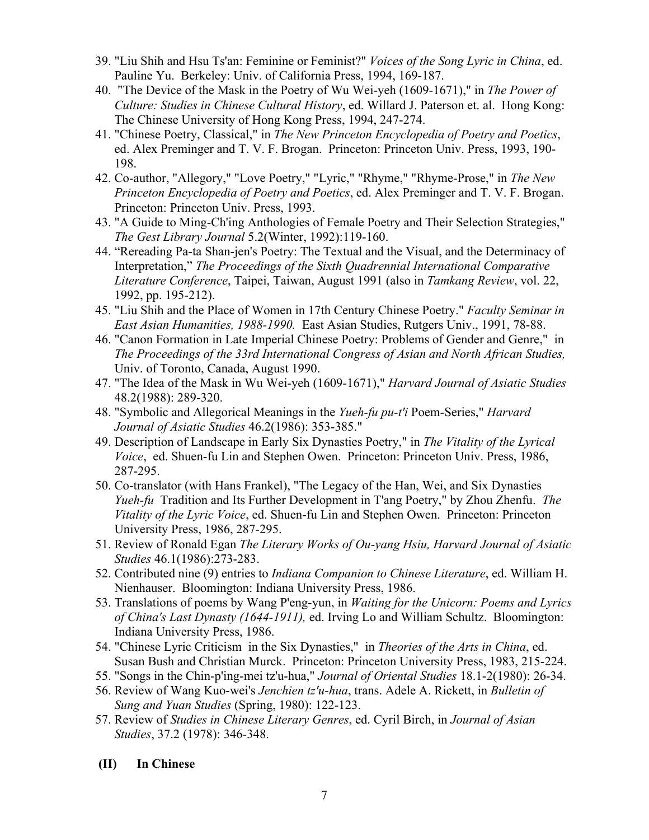- 39. "Liu Shih and Hsu Ts'an: Feminine or Feminist?" *Voices of the Song Lyric in China*, ed. Pauline Yu. Berkeley: Univ. of California Press, 1994, 169-187.
- 40. "The Device of the Mask in the Poetry of Wu Wei-yeh (1609-1671)," in *The Power of Culture: Studies in Chinese Cultural History*, ed. Willard J. Paterson et. al. Hong Kong: The Chinese University of Hong Kong Press, 1994, 247-274.
- 41. "Chinese Poetry, Classical," in *The New Princeton Encyclopedia of Poetry and Poetics*, ed. Alex Preminger and T. V. F. Brogan. Princeton: Princeton Univ. Press, 1993, 190- 198.
- 42. Co-author, "Allegory," "Love Poetry," "Lyric," "Rhyme," "Rhyme-Prose," in *The New Princeton Encyclopedia of Poetry and Poetics*, ed. Alex Preminger and T. V. F. Brogan. Princeton: Princeton Univ. Press, 1993.
- 43. "A Guide to Ming-Ch'ing Anthologies of Female Poetry and Their Selection Strategies," *The Gest Library Journal* 5.2(Winter, 1992):119-160.
- 44. "Rereading Pa-ta Shan-jen's Poetry: The Textual and the Visual, and the Determinacy of Interpretation," *The Proceedings of the Sixth Quadrennial International Comparative Literature Conference*, Taipei, Taiwan, August 1991 (also in *Tamkang Review*, vol. 22, 1992, pp. 195-212).
- 45. "Liu Shih and the Place of Women in 17th Century Chinese Poetry." *Faculty Seminar in East Asian Humanities, 1988-1990.* East Asian Studies, Rutgers Univ., 1991, 78-88.
- 46. "Canon Formation in Late Imperial Chinese Poetry: Problems of Gender and Genre," in *The Proceedings of the 33rd International Congress of Asian and North African Studies,* Univ. of Toronto, Canada, August 1990.
- 47. "The Idea of the Mask in Wu Wei-yeh (1609-1671)," *Harvard Journal of Asiatic Studies* 48.2(1988): 289-320.
- 48. "Symbolic and Allegorical Meanings in the *Yueh-fu pu-t'i* Poem-Series," *Harvard Journal of Asiatic Studies* 46.2(1986): 353-385."
- 49. Description of Landscape in Early Six Dynasties Poetry," in *The Vitality of the Lyrical Voice*, ed. Shuen-fu Lin and Stephen Owen. Princeton: Princeton Univ. Press, 1986, 287-295.
- 50. Co-translator (with Hans Frankel), "The Legacy of the Han, Wei, and Six Dynasties *Yueh-fu* Tradition and Its Further Development in T'ang Poetry," by Zhou Zhenfu. *The Vitality of the Lyric Voice*, ed. Shuen-fu Lin and Stephen Owen. Princeton: Princeton University Press, 1986, 287-295.
- 51. Review of Ronald Egan *The Literary Works of Ou-yang Hsiu, Harvard Journal of Asiatic Studies* 46.1(1986):273-283.
- 52. Contributed nine (9) entries to *Indiana Companion to Chinese Literature*, ed. William H. Nienhauser. Bloomington: Indiana University Press, 1986.
- 53. Translations of poems by Wang P'eng-yun, in *Waiting for the Unicorn: Poems and Lyrics of China's Last Dynasty (1644-1911),* ed. Irving Lo and William Schultz. Bloomington: Indiana University Press, 1986.
- 54. "Chinese Lyric Criticism in the Six Dynasties," in *Theories of the Arts in China*, ed. Susan Bush and Christian Murck. Princeton: Princeton University Press, 1983, 215-224.
- 55. "Songs in the Chin-p'ing-mei tz'u-hua," *Journal of Oriental Studies* 18.1-2(1980): 26-34.
- 56. Review of Wang Kuo-wei's *Jenchien tz'u-hua*, trans. Adele A. Rickett, in *Bulletin of Sung and Yuan Studies* (Spring, 1980): 122-123.
- 57. Review of *Studies in Chinese Literary Genres*, ed. Cyril Birch, in *Journal of Asian Studies*, 37.2 (1978): 346-348.
- **(II) In Chinese**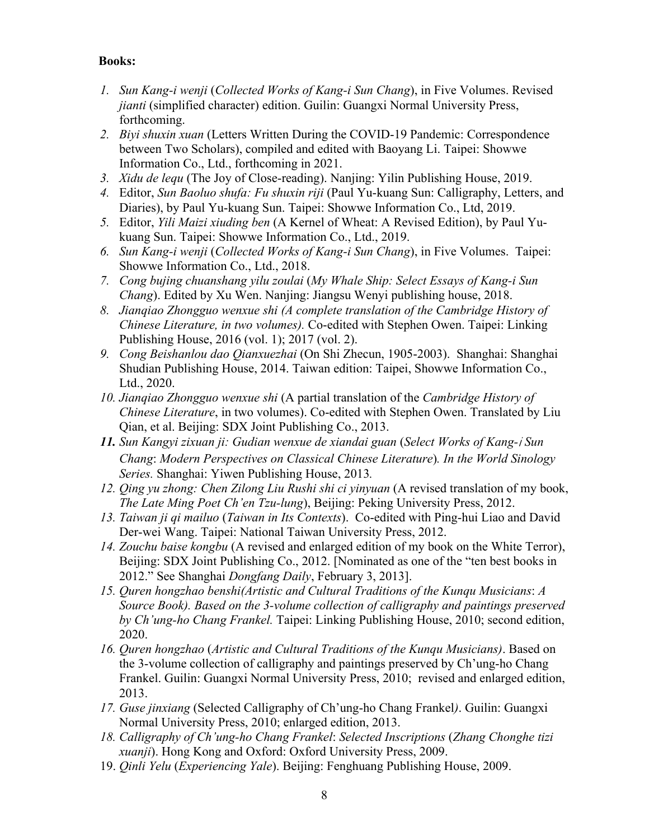## **Books:**

- *1. Sun Kang-i wenji* (*Collected Works of Kang-i Sun Chang*), in Five Volumes. Revised *jianti* (simplified character) edition. Guilin: Guangxi Normal University Press, forthcoming.
- *2. Biyi shuxin xuan* (Letters Written During the COVID-19 Pandemic: Correspondence between Two Scholars), compiled and edited with Baoyang Li. Taipei: Showwe Information Co., Ltd., forthcoming in 2021.
- *3. Xidu de lequ* (The Joy of Close-reading). Nanjing: Yilin Publishing House, 2019.
- *4.* Editor, *Sun Baoluo shufa: Fu shuxin riji* (Paul Yu-kuang Sun: Calligraphy, Letters, and Diaries), by Paul Yu-kuang Sun. Taipei: Showwe Information Co., Ltd, 2019.
- *5.* Editor, *Yili Maizi xiuding ben* (A Kernel of Wheat: A Revised Edition), by Paul Yukuang Sun. Taipei: Showwe Information Co., Ltd., 2019.
- *6. Sun Kang-i wenji* (*Collected Works of Kang-i Sun Chang*), in Five Volumes. Taipei: Showwe Information Co., Ltd., 2018.
- *7. Cong bujing chuanshang yilu zoulai* (*My Whale Ship: Select Essays of Kang-i Sun Chang*). Edited by Xu Wen. Nanjing: Jiangsu Wenyi publishing house, 2018.
- *8. Jianqiao Zhongguo wenxue shi (A complete translation of the Cambridge History of Chinese Literature, in two volumes).* Co-edited with Stephen Owen. Taipei: Linking Publishing House, 2016 (vol. 1); 2017 (vol. 2).
- *9. Cong Beishanlou dao Qianxuezhai* (On Shi Zhecun, 1905-2003). Shanghai: Shanghai Shudian Publishing House, 2014. Taiwan edition: Taipei, Showwe Information Co., Ltd., 2020.
- *10. Jianqiao Zhongguo wenxue shi* (A partial translation of the *Cambridge History of Chinese Literature*, in two volumes). Co-edited with Stephen Owen. Translated by Liu Qian, et al. Beijing: SDX Joint Publishing Co., 2013.
- *11. Sun Kangyi zixuan ji: Gudian wenxue de xiandai guan* (*Select Works of Kang-*i *Sun Chang*: *Modern Perspectives on Classical Chinese Literature*)*. In the World Sinology Series.* Shanghai: Yiwen Publishing House, 2013*.*
- *12. Qing yu zhong: Chen Zilong Liu Rushi shi ci yinyuan* (A revised translation of my book, *The Late Ming Poet Ch'en Tzu-lung*), Beijing: Peking University Press, 2012.
- *13. Taiwan ji qi mailuo* (*Taiwan in Its Contexts*). Co-edited with Ping-hui Liao and David Der-wei Wang. Taipei: National Taiwan University Press, 2012.
- *14. Zouchu baise kongbu* (A revised and enlarged edition of my book on the White Terror), Beijing: SDX Joint Publishing Co., 2012. [Nominated as one of the "ten best books in 2012." See Shanghai *Dongfang Daily*, February 3, 2013].
- *15. Quren hongzhao benshi(Artistic and Cultural Traditions of the Kunqu Musicians*: *A Source Book). Based on the 3-volume collection of calligraphy and paintings preserved by Ch'ung-ho Chang Frankel.* Taipei: Linking Publishing House, 2010; second edition, 2020.
- *16. Quren hongzhao* (*Artistic and Cultural Traditions of the Kunqu Musicians)*. Based on the 3-volume collection of calligraphy and paintings preserved by Ch'ung-ho Chang Frankel. Guilin: Guangxi Normal University Press, 2010; revised and enlarged edition, 2013.
- *17. Guse jinxiang* (Selected Calligraphy of Ch'ung-ho Chang Frankel*)*. Guilin: Guangxi Normal University Press, 2010; enlarged edition, 2013.
- *18. Calligraphy of Ch'ung-ho Chang Frankel*: *Selected Inscriptions* (*Zhang Chonghe tizi xuanji*). Hong Kong and Oxford: Oxford University Press, 2009.
- 19. *Qinli Yelu* (*Experiencing Yale*). Beijing: Fenghuang Publishing House, 2009.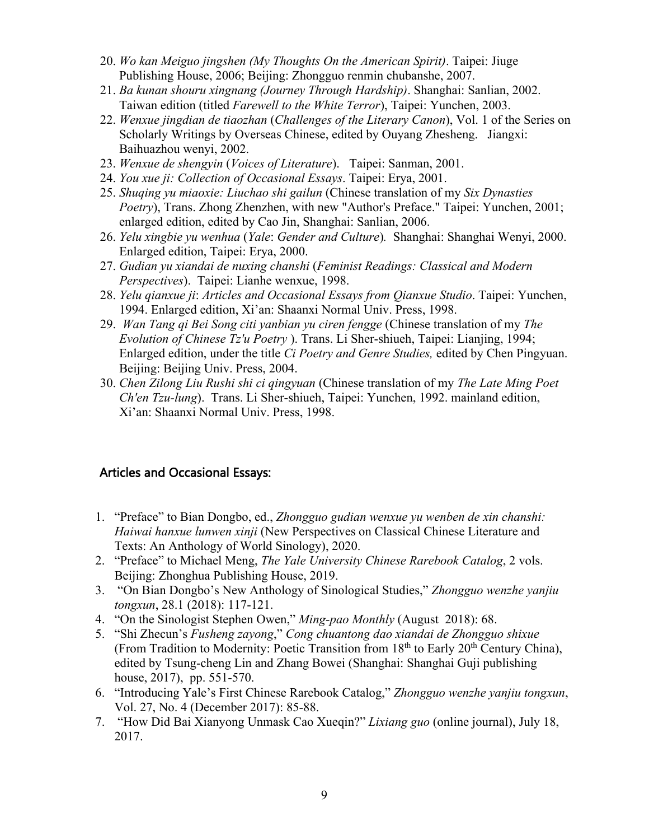- 20. *Wo kan Meiguo jingshen (My Thoughts On the American Spirit)*. Taipei: Jiuge Publishing House, 2006; Beijing: Zhongguo renmin chubanshe, 2007.
- 21. *Ba kunan shouru xingnang (Journey Through Hardship)*. Shanghai: Sanlian, 2002. Taiwan edition (titled *Farewell to the White Terror*), Taipei: Yunchen, 2003.
- 22. *Wenxue jingdian de tiaozhan* (*Challenges of the Literary Canon*), Vol. 1 of the Series on Scholarly Writings by Overseas Chinese, edited by Ouyang Zhesheng. Jiangxi: Baihuazhou wenyi, 2002.
- 23. *Wenxue de shengyin* (*Voices of Literature*). Taipei: Sanman, 2001.
- 24. *You xue ji: Collection of Occasional Essays*. Taipei: Erya, 2001.
- 25. *Shuqing yu miaoxie: Liuchao shi gailun* (Chinese translation of my *Six Dynasties Poetry*), Trans. Zhong Zhenzhen, with new "Author's Preface." Taipei: Yunchen, 2001; enlarged edition, edited by Cao Jin, Shanghai: Sanlian, 2006.
- 26. *Yelu xingbie yu wenhua* (*Yale*: *Gender and Culture*)*.* Shanghai: Shanghai Wenyi, 2000. Enlarged edition, Taipei: Erya, 2000.
- 27. *Gudian yu xiandai de nuxing chanshi* (*Feminist Readings: Classical and Modern Perspectives*). Taipei: Lianhe wenxue, 1998.
- 28. *Yelu qianxue ji*: *Articles and Occasional Essays from Qianxue Studio*. Taipei: Yunchen, 1994. Enlarged edition, Xi'an: Shaanxi Normal Univ. Press, 1998.
- 29. *Wan Tang qi Bei Song citi yanbian yu ciren fengge* (Chinese translation of my *The Evolution of Chinese Tz'u Poetry* ). Trans. Li Sher-shiueh, Taipei: Lianjing, 1994; Enlarged edition, under the title *Ci Poetry and Genre Studies,* edited by Chen Pingyuan. Beijing: Beijing Univ. Press, 2004.
- 30. *Chen Zilong Liu Rushi shi ci qingyuan* (Chinese translation of my *The Late Ming Poet Ch'en Tzu-lung*). Trans. Li Sher-shiueh, Taipei: Yunchen, 1992. mainland edition, Xi'an: Shaanxi Normal Univ. Press, 1998.

# Articles and Occasional Essays:

- 1. "Preface" to Bian Dongbo, ed., *Zhongguo gudian wenxue yu wenben de xin chanshi: Haiwai hanxue lunwen xinji* (New Perspectives on Classical Chinese Literature and Texts: An Anthology of World Sinology), 2020.
- 2. "Preface" to Michael Meng, *The Yale University Chinese Rarebook Catalog*, 2 vols. Beijing: Zhonghua Publishing House, 2019.
- 3. "On Bian Dongbo's New Anthology of Sinological Studies," *Zhongguo wenzhe yanjiu tongxun*, 28.1 (2018): 117-121.
- 4. "On the Sinologist Stephen Owen," *Ming-pao Monthly* (August 2018): 68.
- 5. "Shi Zhecun's *Fusheng zayong*," *Cong chuantong dao xiandai de Zhongguo shixue*  (From Tradition to Modernity: Poetic Transition from  $18<sup>th</sup>$  to Early  $20<sup>th</sup>$  Century China), edited by Tsung-cheng Lin and Zhang Bowei (Shanghai: Shanghai Guji publishing house, 2017), pp. 551-570.
- 6. "Introducing Yale's First Chinese Rarebook Catalog," *Zhongguo wenzhe yanjiu tongxun*, Vol. 27, No. 4 (December 2017): 85-88.
- 7. "How Did Bai Xianyong Unmask Cao Xueqin?" *Lixiang guo* (online journal), July 18, 2017.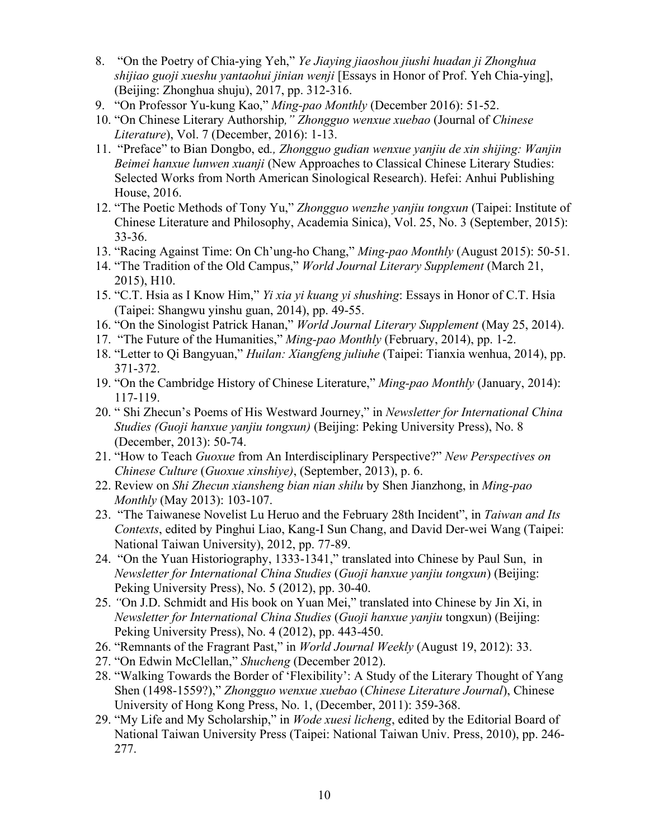- 8. "On the Poetry of Chia-ying Yeh," *Ye Jiaying jiaoshou jiushi huadan ji Zhonghua shijiao guoji xueshu yantaohui jinian wenji* [Essays in Honor of Prof. Yeh Chia-ying], (Beijing: Zhonghua shuju), 2017, pp. 312-316.
- 9. "On Professor Yu-kung Kao," *Ming-pao Monthly* (December 2016): 51-52.
- 10. "On Chinese Literary Authorship*," Zhongguo wenxue xuebao* (Journal of *Chinese Literature*), Vol. 7 (December, 2016): 1-13.
- 11. "Preface" to Bian Dongbo, ed*., Zhongguo gudian wenxue yanjiu de xin shijing: Wanjin Beimei hanxue lunwen xuanji* (New Approaches to Classical Chinese Literary Studies: Selected Works from North American Sinological Research). Hefei: Anhui Publishing House, 2016.
- 12. "The Poetic Methods of Tony Yu," *Zhongguo wenzhe yanjiu tongxun* (Taipei: Institute of Chinese Literature and Philosophy, Academia Sinica), Vol. 25, No. 3 (September, 2015): 33-36.
- 13. "Racing Against Time: On Ch'ung-ho Chang," *Ming-pao Monthly* (August 2015): 50-51.
- 14. "The Tradition of the Old Campus," *World Journal Literary Supplement* (March 21, 2015), H10.
- 15. "C.T. Hsia as I Know Him," *Yi xia yi kuang yi shushing*: Essays in Honor of C.T. Hsia (Taipei: Shangwu yinshu guan, 2014), pp. 49-55.
- 16. "On the Sinologist Patrick Hanan," *World Journal Literary Supplement* (May 25, 2014).
- 17. "The Future of the Humanities," *Ming-pao Monthly* (February, 2014), pp. 1-2.
- 18. "Letter to Qi Bangyuan," *Huilan: Xiangfeng juliuhe* (Taipei: Tianxia wenhua, 2014), pp. 371-372.
- 19. "On the Cambridge History of Chinese Literature," *Ming-pao Monthly* (January, 2014): 117-119.
- 20. " Shi Zhecun's Poems of His Westward Journey," in *Newsletter for International China Studies (Guoji hanxue yanjiu tongxun)* (Beijing: Peking University Press), No. 8 (December, 2013): 50-74.
- 21. "How to Teach *Guoxue* from An Interdisciplinary Perspective?" *New Perspectives on Chinese Culture* (*Guoxue xinshiye)*, (September, 2013), p. 6.
- 22. Review on *Shi Zhecun xiansheng bian nian shilu* by Shen Jianzhong, in *Ming-pao Monthly* (May 2013): 103-107.
- 23. "The Taiwanese Novelist Lu Heruo and the February 28th Incident", in *Taiwan and Its Contexts*, edited by Pinghui Liao, Kang-I Sun Chang, and David Der-wei Wang (Taipei: National Taiwan University), 2012, pp. 77-89.
- 24. "On the Yuan Historiography, 1333-1341," translated into Chinese by Paul Sun, in *Newsletter for International China Studies* (*Guoji hanxue yanjiu tongxun*) (Beijing: Peking University Press), No. 5 (2012), pp. 30-40.
- 25. *"*On J.D. Schmidt and His book on Yuan Mei," translated into Chinese by Jin Xi, in *Newsletter for International China Studies* (*Guoji hanxue yanjiu* tongxun) (Beijing: Peking University Press), No. 4 (2012), pp. 443-450.
- 26. "Remnants of the Fragrant Past," in *World Journal Weekly* (August 19, 2012): 33.
- 27. "On Edwin McClellan," *Shucheng* (December 2012).
- 28. "Walking Towards the Border of 'Flexibility': A Study of the Literary Thought of Yang Shen (1498-1559?)," *Zhongguo wenxue xuebao* (*Chinese Literature Journal*), Chinese University of Hong Kong Press, No. 1, (December, 2011): 359-368.
- 29. "My Life and My Scholarship," in *Wode xuesi licheng*, edited by the Editorial Board of National Taiwan University Press (Taipei: National Taiwan Univ. Press, 2010), pp. 246- 277.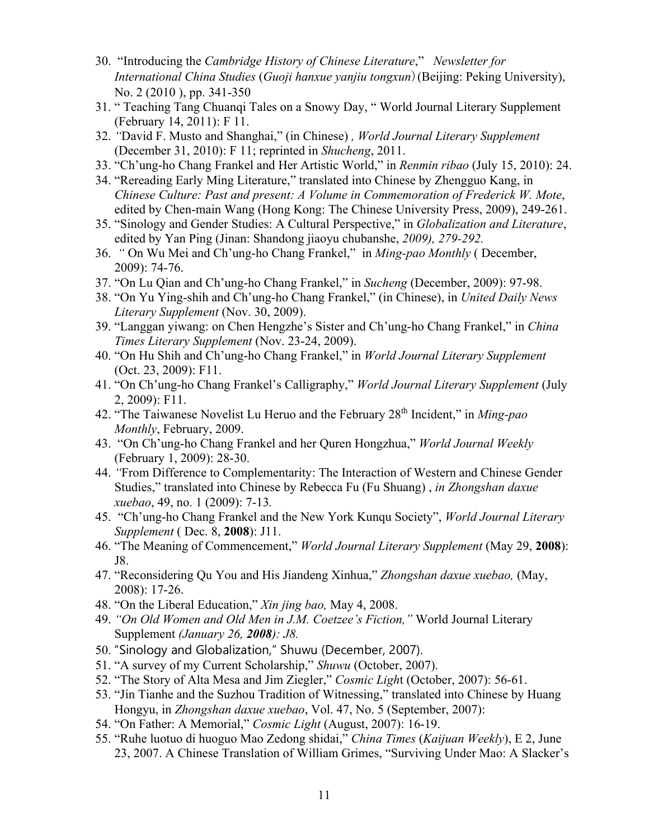- 30. "Introducing the *Cambridge History of Chinese Literature*," *Newsletter for International China Studies* (*Guoji hanxue yanjiu tongxun*)(Beijing: Peking University), No. 2 (2010 ), pp. 341-350
- 31. " Teaching Tang Chuanqi Tales on a Snowy Day, " World Journal Literary Supplement (February 14, 2011): F 11.
- 32. *"*David F. Musto and Shanghai," (in Chinese) *, World Journal Literary Supplement* (December 31, 2010): F 11; reprinted in *Shucheng*, 2011.
- 33. "Ch'ung-ho Chang Frankel and Her Artistic World," in *Renmin ribao* (July 15, 2010): 24.
- 34. "Rereading Early Ming Literature," translated into Chinese by Zhengguo Kang, in *Chinese Culture: Past and present: A Volume in Commemoration of Frederick W. Mote*, edited by Chen-main Wang (Hong Kong: The Chinese University Press, 2009), 249-261.
- 35. "Sinology and Gender Studies: A Cultural Perspective," in *Globalization and Literature*, edited by Yan Ping (Jinan: Shandong jiaoyu chubanshe, *2009), 279-292.*
- 36. *"* On Wu Mei and Ch'ung-ho Chang Frankel," in *Ming-pao Monthly* ( December, 2009): 74-76.
- 37. "On Lu Qian and Ch'ung-ho Chang Frankel," in *Sucheng* (December, 2009): 97-98.
- 38. "On Yu Ying-shih and Ch'ung-ho Chang Frankel," (in Chinese), in *United Daily News Literary Supplement* (Nov. 30, 2009).
- 39. "Langgan yiwang: on Chen Hengzhe's Sister and Ch'ung-ho Chang Frankel," in *China Times Literary Supplement* (Nov. 23-24, 2009).
- 40. "On Hu Shih and Ch'ung-ho Chang Frankel," in *World Journal Literary Supplement* (Oct. 23, 2009): F11.
- 41. "On Ch'ung-ho Chang Frankel's Calligraphy," *World Journal Literary Supplement* (July 2, 2009): F11.
- 42. "The Taiwanese Novelist Lu Heruo and the February 28th Incident," in *Ming-pao Monthly*, February, 2009.
- 43. "On Ch'ung-ho Chang Frankel and her Quren Hongzhua," *World Journal Weekly* (February 1, 2009): 28-30.
- 44. *"*From Difference to Complementarity: The Interaction of Western and Chinese Gender Studies," translated into Chinese by Rebecca Fu (Fu Shuang) , *in Zhongshan daxue xuebao*, 49, no. 1 (2009): 7-13*.*
- 45. "Ch'ung-ho Chang Frankel and the New York Kunqu Society", *World Journal Literary Supplement* ( Dec. 8, **2008**): J11.
- 46. "The Meaning of Commencement," *World Journal Literary Supplement* (May 29, **2008**): J8.
- 47. "Reconsidering Qu You and His Jiandeng Xinhua," *Zhongshan daxue xuebao,* (May, 2008): 17-26.
- 48. "On the Liberal Education," *Xin jing bao,* May 4, 2008.
- 49. *"On Old Women and Old Men in J.M. Coetzee's Fiction,"* World Journal Literary Supplement *(January 26, 2008): J8.*
- 50. "Sinology and Globalization," Shuwu (December, 2007).
- 51. "A survey of my Current Scholarship," *Shuwu* (October, 2007).
- 52. "The Story of Alta Mesa and Jim Ziegler," *Cosmic Ligh*t (October, 2007): 56-61.
- 53. "Jin Tianhe and the Suzhou Tradition of Witnessing," translated into Chinese by Huang Hongyu, in *Zhongshan daxue xuebao*, Vol. 47, No. 5 (September, 2007):
- 54. "On Father: A Memorial," *Cosmic Light* (August, 2007): 16-19.
- 55. "Ruhe luotuo di huoguo Mao Zedong shidai," *China Times* (*Kaijuan Weekly*), E 2, June 23, 2007. A Chinese Translation of William Grimes, "Surviving Under Mao: A Slacker's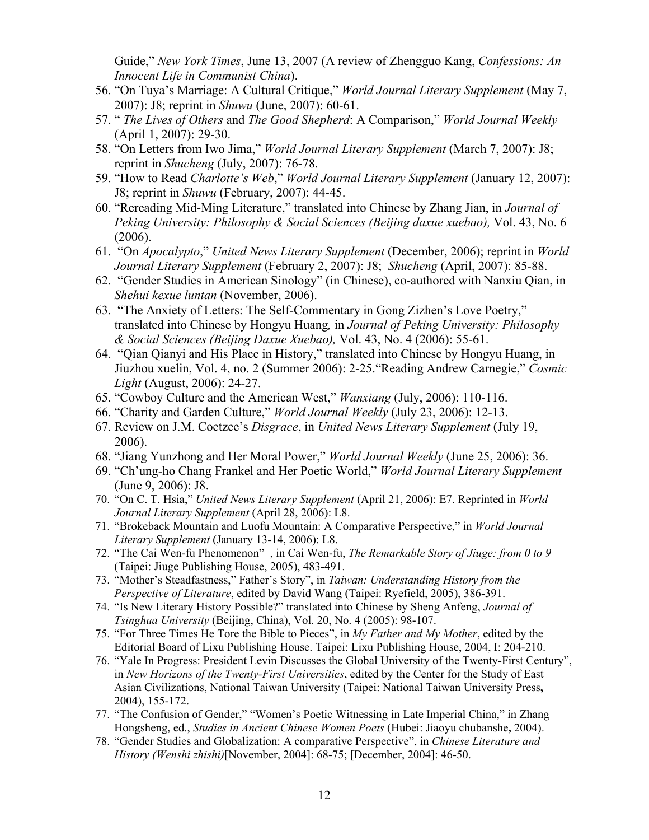Guide," *New York Times*, June 13, 2007 (A review of Zhengguo Kang, *Confessions: An Innocent Life in Communist China*).

- 56. "On Tuya's Marriage: A Cultural Critique," *World Journal Literary Supplement* (May 7, 2007): J8; reprint in *Shuwu* (June, 2007): 60-61.
- 57. " *The Lives of Others* and *The Good Shepherd*: A Comparison," *World Journal Weekly* (April 1, 2007): 29-30.
- 58. "On Letters from Iwo Jima," *World Journal Literary Supplement* (March 7, 2007): J8; reprint in *Shucheng* (July, 2007): 76-78.
- 59. "How to Read *Charlotte's Web*," *World Journal Literary Supplement* (January 12, 2007): J8; reprint in *Shuwu* (February, 2007): 44-45.
- 60. "Rereading Mid-Ming Literature," translated into Chinese by Zhang Jian, in *Journal of Peking University: Philosophy & Social Sciences (Beijing daxue xuebao),* Vol. 43, No. 6 (2006).
- 61. "On *Apocalypto*," *United News Literary Supplement* (December, 2006); reprint in *World Journal Literary Supplement* (February 2, 2007): J8; *Shucheng* (April, 2007): 85-88.
- 62. "Gender Studies in American Sinology" (in Chinese), co-authored with Nanxiu Qian, in *Shehui kexue luntan* (November, 2006).
- 63. "The Anxiety of Letters: The Self-Commentary in Gong Zizhen's Love Poetry," translated into Chinese by Hongyu Huang*,* in *Journal of Peking University: Philosophy & Social Sciences (Beijing Daxue Xuebao),* Vol. 43, No. 4 (2006): 55-61.
- 64. "Qian Qianyi and His Place in History," translated into Chinese by Hongyu Huang, in Jiuzhou xuelin, Vol. 4, no. 2 (Summer 2006): 2-25."Reading Andrew Carnegie," *Cosmic Light* (August, 2006): 24-27.
- 65. "Cowboy Culture and the American West," *Wanxiang* (July, 2006): 110-116.
- 66. "Charity and Garden Culture," *World Journal Weekly* (July 23, 2006): 12-13.
- 67. Review on J.M. Coetzee's *Disgrace*, in *United News Literary Supplement* (July 19, 2006).
- 68. "Jiang Yunzhong and Her Moral Power," *World Journal Weekly* (June 25, 2006): 36.
- 69. "Ch'ung-ho Chang Frankel and Her Poetic World," *World Journal Literary Supplement* (June 9, 2006): J8.
- 70. "On C. T. Hsia," *United News Literary Supplement* (April 21, 2006): E7. Reprinted in *World Journal Literary Supplement* (April 28, 2006): L8.
- 71. "Brokeback Mountain and Luofu Mountain: A Comparative Perspective," in *World Journal Literary Supplement* (January 13-14, 2006): L8.
- 72. "The Cai Wen-fu Phenomenon" , in Cai Wen-fu, *The Remarkable Story of Jiuge: from 0 to 9* (Taipei: Jiuge Publishing House, 2005), 483-491.
- 73. "Mother's Steadfastness," Father's Story", in *Taiwan: Understanding History from the Perspective of Literature*, edited by David Wang (Taipei: Ryefield, 2005), 386-391.
- 74. "Is New Literary History Possible?" translated into Chinese by Sheng Anfeng, *Journal of Tsinghua University* (Beijing, China), Vol. 20, No. 4 (2005): 98-107.
- 75. "For Three Times He Tore the Bible to Pieces", in *My Father and My Mother*, edited by the Editorial Board of Lixu Publishing House. Taipei: Lixu Publishing House, 2004, I: 204-210.
- 76. "Yale In Progress: President Levin Discusses the Global University of the Twenty-First Century", in *New Horizons of the Twenty-First Universities*, edited by the Center for the Study of East Asian Civilizations, National Taiwan University (Taipei: National Taiwan University Press**,**  2004), 155-172.
- 77. "The Confusion of Gender," "Women's Poetic Witnessing in Late Imperial China," in Zhang Hongsheng, ed., *Studies in Ancient Chinese Women Poets* (Hubei: Jiaoyu chubanshe**,** 2004).
- 78. "Gender Studies and Globalization: A comparative Perspective", in *Chinese Literature and History (Wenshi zhishi)*[November, 2004]: 68-75; [December, 2004]: 46-50.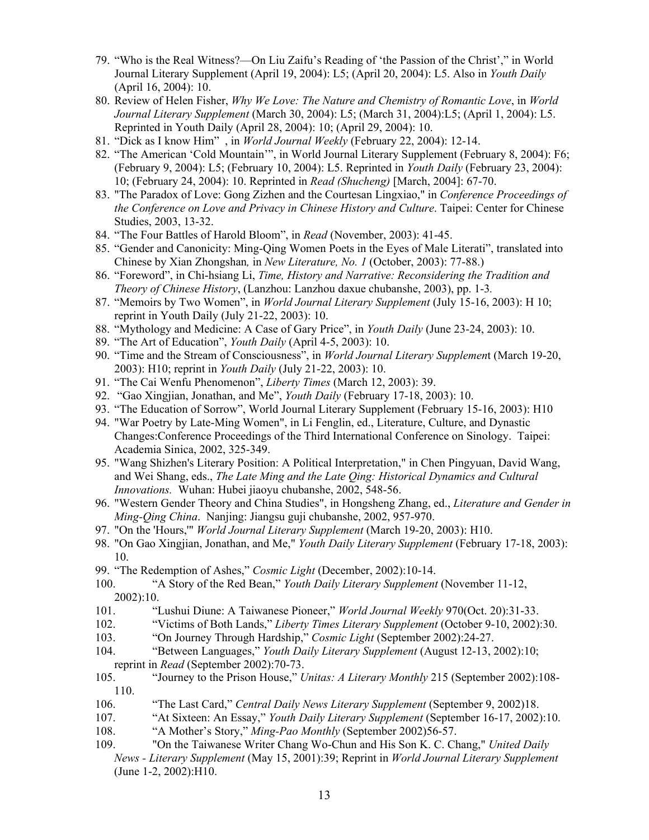- 79. "Who is the Real Witness?—On Liu Zaifu's Reading of 'the Passion of the Christ'," in World Journal Literary Supplement (April 19, 2004): L5; (April 20, 2004): L5. Also in *Youth Daily* (April 16, 2004): 10.
- 80. Review of Helen Fisher, *Why We Love: The Nature and Chemistry of Romantic Love*, in *World Journal Literary Supplement* (March 30, 2004): L5; (March 31, 2004):L5; (April 1, 2004): L5. Reprinted in Youth Daily (April 28, 2004): 10; (April 29, 2004): 10.
- 81. "Dick as I know Him" , in *World Journal Weekly* (February 22, 2004): 12-14.
- 82. "The American 'Cold Mountain'", in World Journal Literary Supplement (February 8, 2004): F6; (February 9, 2004): L5; (February 10, 2004): L5. Reprinted in *Youth Daily* (February 23, 2004): 10; (February 24, 2004): 10. Reprinted in *Read (Shucheng)* [March, 2004]: 67-70.
- 83. "The Paradox of Love: Gong Zizhen and the Courtesan Lingxiao," in *Conference Proceedings of the Conference on Love and Privacy in Chinese History and Culture*. Taipei: Center for Chinese Studies, 2003, 13-32.
- 84. "The Four Battles of Harold Bloom", in *Read* (November, 2003): 41-45.
- 85. "Gender and Canonicity: Ming-Qing Women Poets in the Eyes of Male Literati", translated into Chinese by Xian Zhongshan*,* in *New Literature, No. 1* (October, 2003): 77-88.)
- 86. "Foreword", in Chi-hsiang Li, *Time, History and Narrative: Reconsidering the Tradition and Theory of Chinese History*, (Lanzhou: Lanzhou daxue chubanshe, 2003), pp. 1-3*.*
- 87. "Memoirs by Two Women", in *World Journal Literary Supplement* (July 15-16, 2003): H 10; reprint in Youth Daily (July 21-22, 2003): 10.
- 88. "Mythology and Medicine: A Case of Gary Price", in *Youth Daily* (June 23-24, 2003): 10.
- 89. "The Art of Education", *Youth Daily* (April 4-5, 2003): 10.
- 90. "Time and the Stream of Consciousness", in *World Journal Literary Supplemen*t (March 19-20, 2003): H10; reprint in *Youth Daily* (July 21-22, 2003): 10.
- 91. "The Cai Wenfu Phenomenon", *Liberty Times* (March 12, 2003): 39.
- 92. "Gao Xingjian, Jonathan, and Me", *Youth Daily* (February 17-18, 2003): 10.
- 93. "The Education of Sorrow", World Journal Literary Supplement (February 15-16, 2003): H10
- 94. "War Poetry by Late-Ming Women", in Li Fenglin, ed., Literature, Culture, and Dynastic Changes:Conference Proceedings of the Third International Conference on Sinology. Taipei: Academia Sinica, 2002, 325-349.
- 95. "Wang Shizhen's Literary Position: A Political Interpretation," in Chen Pingyuan, David Wang, and Wei Shang, eds., *The Late Ming and the Late Qing: Historical Dynamics and Cultural Innovations.* Wuhan: Hubei jiaoyu chubanshe, 2002, 548-56.
- 96. "Western Gender Theory and China Studies", in Hongsheng Zhang, ed., *Literature and Gender in Ming-Qing China*. Nanjing: Jiangsu guji chubanshe, 2002, 957-970.
- 97. "On the 'Hours,'" *World Journal Literary Supplement* (March 19-20, 2003): H10.
- 98. "On Gao Xingjian, Jonathan, and Me," *Youth Daily Literary Supplement* (February 17-18, 2003): 10.
- 99. "The Redemption of Ashes," *Cosmic Light* (December, 2002):10-14.
- 100. "A Story of the Red Bean," *Youth Daily Literary Supplement* (November 11-12, 2002):10.
- 101. "Lushui Diune: A Taiwanese Pioneer," *World Journal Weekly* 970(Oct. 20):31-33.
- 102. "Victims of Both Lands," *Liberty Times Literary Supplement* (October 9-10, 2002):30.
- 103. "On Journey Through Hardship," *Cosmic Light* (September 2002):24-27.
- 104. "Between Languages," *Youth Daily Literary Supplement* (August 12-13, 2002):10; reprint in *Read* (September 2002):70-73.
- 105. "Journey to the Prison House," *Unitas: A Literary Monthly* 215 (September 2002):108- 110.
- 106. "The Last Card," *Central Daily News Literary Supplement* (September 9, 2002)18.
- 107. "At Sixteen: An Essay," *Youth Daily Literary Supplement* (September 16-17, 2002):10.
- 108. "A Mother's Story," *Ming-Pao Monthly* (September 2002)56-57.
- 109. "On the Taiwanese Writer Chang Wo-Chun and His Son K. C. Chang," *United Daily News - Literary Supplement* (May 15, 2001):39; Reprint in *World Journal Literary Supplement* (June 1-2, 2002):H10.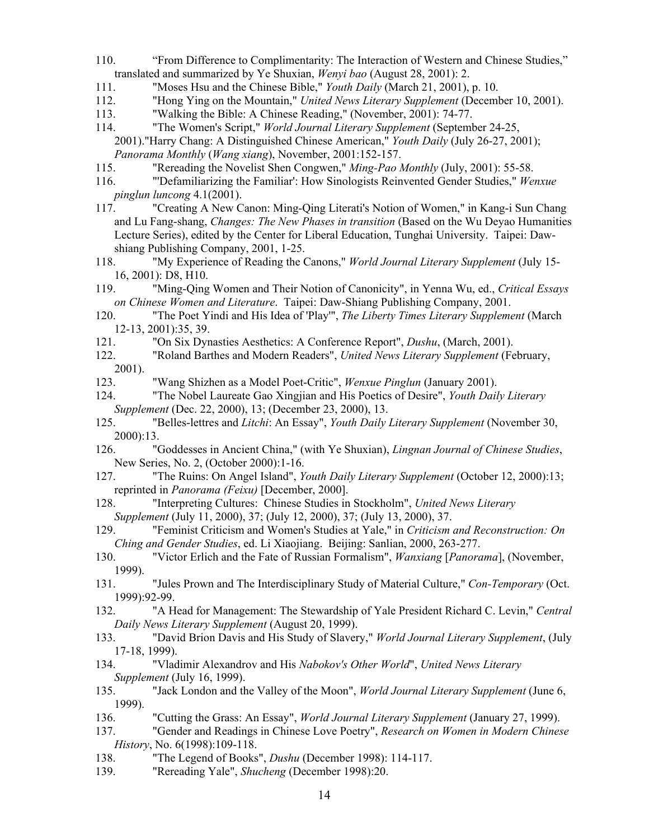- 110. "From Difference to Complimentarity: The Interaction of Western and Chinese Studies," translated and summarized by Ye Shuxian, *Wenyi bao* (August 28, 2001): 2.
- 111. "Moses Hsu and the Chinese Bible," *Youth Daily* (March 21, 2001), p. 10.
- 112. "Hong Ying on the Mountain," *United News Literary Supplement* (December 10, 2001).
- 113. "Walking the Bible: A Chinese Reading," (November, 2001): 74-77.
- 114. "The Women's Script," *World Journal Literary Supplement* (September 24-25, 2001)."Harry Chang: A Distinguished Chinese American," *Youth Daily* (July 26-27, 2001); *Panorama Monthly* (*Wang xiang*), November, 2001:152-157.
- 115. "Rereading the Novelist Shen Congwen," *Ming-Pao Monthly* (July, 2001): 55-58.
- 116. "'Defamiliarizing the Familiar': How Sinologists Reinvented Gender Studies," *Wenxue pinglun luncong* 4.1(2001).<br>117. "Creating A New C
- "Creating A New Canon: Ming-Qing Literati's Notion of Women," in Kang-i Sun Chang and Lu Fang-shang, *Changes: The New Phases in transition* (Based on the Wu Deyao Humanities Lecture Series), edited by the Center for Liberal Education, Tunghai University. Taipei: Dawshiang Publishing Company, 2001, 1-25.
- 118. "My Experience of Reading the Canons," *World Journal Literary Supplement* (July 15- 16, 2001): D8, H10.
- 119. "Ming-Qing Women and Their Notion of Canonicity", in Yenna Wu, ed., *Critical Essays on Chinese Women and Literature*. Taipei: Daw-Shiang Publishing Company, 2001.
- 120. "The Poet Yindi and His Idea of 'Play'", *The Liberty Times Literary Supplement* (March 12-13, 2001):35, 39.
- 121. "On Six Dynasties Aesthetics: A Conference Report", *Dushu*, (March, 2001).
- 122. "Roland Barthes and Modern Readers", *United News Literary Supplement* (February, 2001).
- 123. "Wang Shizhen as a Model Poet-Critic", *Wenxue Pinglun* (January 2001).
- 124. "The Nobel Laureate Gao Xingjian and His Poetics of Desire", *Youth Daily Literary Supplement* (Dec. 22, 2000), 13; (December 23, 2000), 13.
- 125. "Belles-lettres and *Litchi*: An Essay", *Youth Daily Literary Supplement* (November 30, 2000):13.
- 126. "Goddesses in Ancient China," (with Ye Shuxian), *Lingnan Journal of Chinese Studies*, New Series, No. 2, (October 2000):1-16.
- 127. "The Ruins: On Angel Island", *Youth Daily Literary Supplement* (October 12, 2000):13; reprinted in *Panorama (Feixu)* [December, 2000].
- 128. "Interpreting Cultures: Chinese Studies in Stockholm", *United News Literary Supplement* (July 11, 2000), 37; (July 12, 2000), 37; (July 13, 2000), 37.
- 129. "Feminist Criticism and Women's Studies at Yale," in *Criticism and Reconstruction: On Ching and Gender Studies*, ed. Li Xiaojiang. Beijing: Sanlian, 2000, 263-277.
- 130. "Victor Erlich and the Fate of Russian Formalism", *Wanxiang* [*Panorama*], (November, 1999).
- 131. "Jules Prown and The Interdisciplinary Study of Material Culture," *Con-Temporary* (Oct. 1999):92-99.
- 132. "A Head for Management: The Stewardship of Yale President Richard C. Levin," *Central Daily News Literary Supplement* (August 20, 1999).
- 133. "David Brion Davis and His Study of Slavery," *World Journal Literary Supplement*, (July 17-18, 1999).
- 134. "Vladimir Alexandrov and His *Nabokov's Other World*", *United News Literary Supplement* (July 16, 1999).
- 135. "Jack London and the Valley of the Moon", *World Journal Literary Supplement* (June 6, 1999).
- 136. "Cutting the Grass: An Essay", *World Journal Literary Supplement* (January 27, 1999).
- 137. "Gender and Readings in Chinese Love Poetry", *Research on Women in Modern Chinese History*, No. 6(1998):109-118.
- 138. "The Legend of Books", *Dushu* (December 1998): 114-117.
- 139. "Rereading Yale", *Shucheng* (December 1998):20.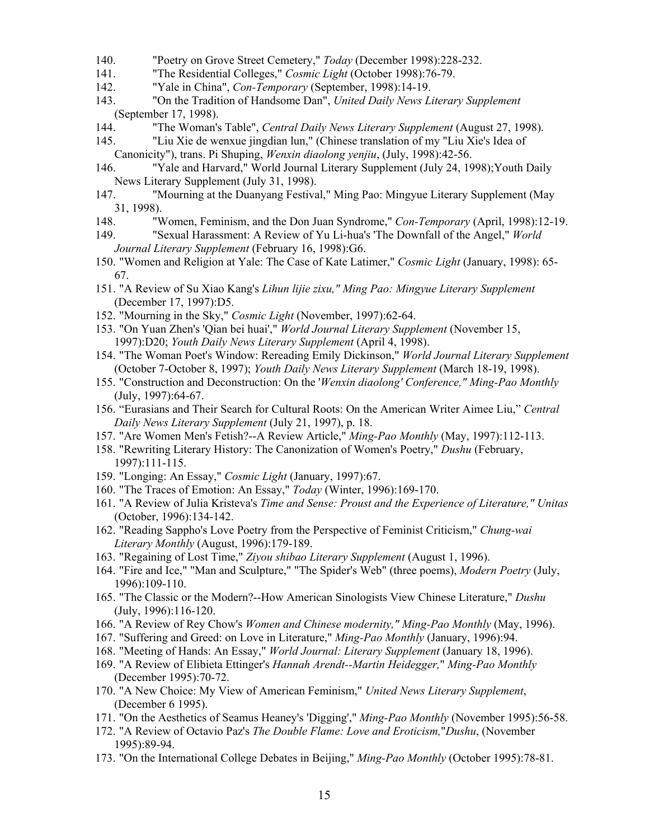- 140. "Poetry on Grove Street Cemetery," *Today* (December 1998):228-232.
- 141. "The Residential Colleges," *Cosmic Light* (October 1998):76-79.
- 142. "Yale in China", *Con-Temporary* (September, 1998):14-19.
- 143. "On the Tradition of Handsome Dan", *United Daily News Literary Supplement* (September 17, 1998).
- 144. "The Woman's Table", *Central Daily News Literary Supplement* (August 27, 1998).
- 145. "Liu Xie de wenxue jingdian lun," (Chinese translation of my "Liu Xie's Idea of Canonicity"), trans. Pi Shuping, *Wenxin diaolong yenjiu*, (July, 1998):42-56.
- 146. "Yale and Harvard," World Journal Literary Supplement (July 24, 1998);Youth Daily News Literary Supplement (July 31, 1998).
- 147. "Mourning at the Duanyang Festival," Ming Pao: Mingyue Literary Supplement (May 31, 1998).
- 148. "Women, Feminism, and the Don Juan Syndrome," *Con-Temporary* (April, 1998):12-19.
- 149. "Sexual Harassment: A Review of Yu Li-hua's 'The Downfall of the Angel," *World Journal Literary Supplement* (February 16, 1998):G6.
- 150. "Women and Religion at Yale: The Case of Kate Latimer," *Cosmic Light* (January, 1998): 65- 67.
- 151. "A Review of Su Xiao Kang's *Lihun lijie zixu," Ming Pao: Mingyue Literary Supplement* (December 17, 1997):D5.
- 152. "Mourning in the Sky," *Cosmic Light* (November, 1997):62-64.
- 153. "On Yuan Zhen's 'Qian bei huai'," *World Journal Literary Supplement* (November 15, 1997):D20; *Youth Daily News Literary Supplement* (April 4, 1998).
- 154. "The Woman Poet's Window: Rereading Emily Dickinson," *World Journal Literary Supplement*  (October 7-October 8, 1997); *Youth Daily News Literary Supplement* (March 18-19, 1998).
- 155. "Construction and Deconstruction: On the '*Wenxin diaolong' Conference," Ming-Pao Monthly* (July, 1997):64-67.
- 156. "Eurasians and Their Search for Cultural Roots: On the American Writer Aimee Liu," *Central Daily News Literary Supplement* (July 21, 1997), p. 18.
- 157. "Are Women Men's Fetish?--A Review Article," *Ming-Pao Monthly* (May, 1997):112-113.
- 158. "Rewriting Literary History: The Canonization of Women's Poetry," *Dushu* (February, 1997):111-115.
- 159. "Longing: An Essay," *Cosmic Light* (January, 1997):67.
- 160. "The Traces of Emotion: An Essay," *Today* (Winter, 1996):169-170.
- 161. "A Review of Julia Kristeva's *Time and Sense: Proust and the Experience of Literature," Unitas* (October, 1996):134-142.
- 162. "Reading Sappho's Love Poetry from the Perspective of Feminist Criticism," *Chung-wai Literary Monthly* (August, 1996):179-189.
- 163. "Regaining of Lost Time," *Ziyou shibao Literary Supplement* (August 1, 1996).
- 164. "Fire and Ice," "Man and Sculpture," "The Spider's Web" (three poems), *Modern Poetry* (July, 1996):109-110.
- 165. "The Classic or the Modern?--How American Sinologists View Chinese Literature," *Dushu* (July, 1996):116-120.
- 166. "A Review of Rey Chow's *Women and Chinese modernity," Ming-Pao Monthly* (May, 1996).
- 167. "Suffering and Greed: on Love in Literature," *Ming-Pao Monthly* (January, 1996):94.
- 168. "Meeting of Hands: An Essay," *World Journal: Literary Supplement* (January 18, 1996).
- 169. "A Review of Elibieta Ettinger's *Hannah Arendt--Martin Heidegger,*" *Ming-Pao Monthly* (December 1995):70-72.
- 170. "A New Choice: My View of American Feminism," *United News Literary Supplement*, (December 6 1995).
- 171. "On the Aesthetics of Seamus Heaney's 'Digging'," *Ming-Pao Monthly* (November 1995):56-58.
- 172. "A Review of Octavio Paz's *The Double Flame: Love and Eroticism,*"*Dushu*, (November 1995):89-94.
- 173. "On the International College Debates in Beijing," *Ming-Pao Monthly* (October 1995):78-81.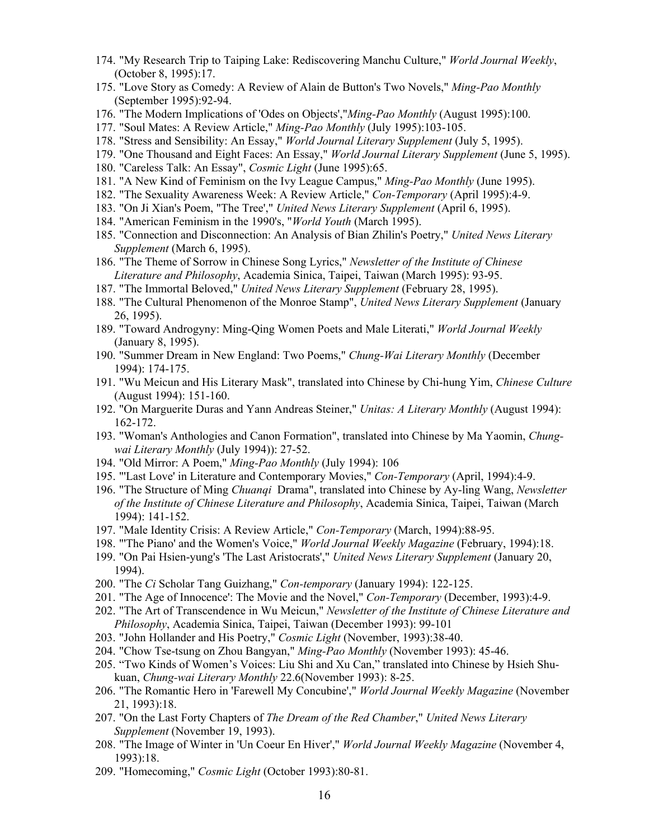- 174. "My Research Trip to Taiping Lake: Rediscovering Manchu Culture," *World Journal Weekly*, (October 8, 1995):17.
- 175. "Love Story as Comedy: A Review of Alain de Button's Two Novels," *Ming-Pao Monthly* (September 1995):92-94.
- 176. "The Modern Implications of 'Odes on Objects',"*Ming-Pao Monthly* (August 1995):100.
- 177. "Soul Mates: A Review Article," *Ming-Pao Monthly* (July 1995):103-105.
- 178. "Stress and Sensibility: An Essay," *World Journal Literary Supplement* (July 5, 1995).
- 179. "One Thousand and Eight Faces: An Essay," *World Journal Literary Supplement* (June 5, 1995).
- 180. "Careless Talk: An Essay", *Cosmic Light* (June 1995):65.
- 181. "A New Kind of Feminism on the Ivy League Campus," *Ming-Pao Monthly* (June 1995).
- 182. "The Sexuality Awareness Week: A Review Article," *Con-Temporary* (April 1995):4-9.
- 183. "On Ji Xian's Poem, "The Tree'," *United News Literary Supplement* (April 6, 1995).
- 184. "American Feminism in the 1990's, "*World Youth* (March 1995).
- 185. "Connection and Disconnection: An Analysis of Bian Zhilin's Poetry," *United News Literary Supplement* (March 6, 1995).
- 186. "The Theme of Sorrow in Chinese Song Lyrics," *Newsletter of the Institute of Chinese Literature and Philosophy*, Academia Sinica, Taipei, Taiwan (March 1995): 93-95.
- 187. "The Immortal Beloved," *United News Literary Supplement* (February 28, 1995).
- 188. "The Cultural Phenomenon of the Monroe Stamp", *United News Literary Supplement* (January 26, 1995).
- 189. "Toward Androgyny: Ming-Qing Women Poets and Male Literati," *World Journal Weekly* (January 8, 1995).
- 190. "Summer Dream in New England: Two Poems," *Chung-Wai Literary Monthly* (December 1994): 174-175.
- 191. "Wu Meicun and His Literary Mask", translated into Chinese by Chi-hung Yim, *Chinese Culture* (August 1994): 151-160.
- 192. "On Marguerite Duras and Yann Andreas Steiner," *Unitas: A Literary Monthly* (August 1994): 162-172.
- 193. "Woman's Anthologies and Canon Formation", translated into Chinese by Ma Yaomin, *Chungwai Literary Monthly* (July 1994)): 27-52.
- 194. "Old Mirror: A Poem," *Ming-Pao Monthly* (July 1994): 106
- 195. "'Last Love' in Literature and Contemporary Movies," *Con-Temporary* (April, 1994):4-9.
- 196. "The Structure of Ming *Chuanqi* Drama", translated into Chinese by Ay-ling Wang, *Newsletter of the Institute of Chinese Literature and Philosophy*, Academia Sinica, Taipei, Taiwan (March 1994): 141-152.
- 197. "Male Identity Crisis: A Review Article," *Con-Temporary* (March, 1994):88-95.
- 198. "'The Piano' and the Women's Voice," *World Journal Weekly Magazine* (February, 1994):18.
- 199. "On Pai Hsien-yung's 'The Last Aristocrats'," *United News Literary Supplement* (January 20, 1994).
- 200. "The *Ci* Scholar Tang Guizhang," *Con-temporary* (January 1994): 122-125.
- 201. "The Age of Innocence': The Movie and the Novel," *Con-Temporary* (December, 1993):4-9.
- 202. "The Art of Transcendence in Wu Meicun," *Newsletter of the Institute of Chinese Literature and Philosophy*, Academia Sinica, Taipei, Taiwan (December 1993): 99-101
- 203. "John Hollander and His Poetry," *Cosmic Light* (November, 1993):38-40.
- 204. "Chow Tse-tsung on Zhou Bangyan," *Ming-Pao Monthly* (November 1993): 45-46.
- 205. "Two Kinds of Women's Voices: Liu Shi and Xu Can," translated into Chinese by Hsieh Shukuan, *Chung-wai Literary Monthly* 22.6(November 1993): 8-25.
- 206. "The Romantic Hero in 'Farewell My Concubine'," *World Journal Weekly Magazine* (November 21, 1993):18.
- 207. "On the Last Forty Chapters of *The Dream of the Red Chamber*," *United News Literary Supplement* (November 19, 1993).
- 208. "The Image of Winter in 'Un Coeur En Hiver'," *World Journal Weekly Magazine* (November 4, 1993):18.
- 209. "Homecoming," *Cosmic Light* (October 1993):80-81.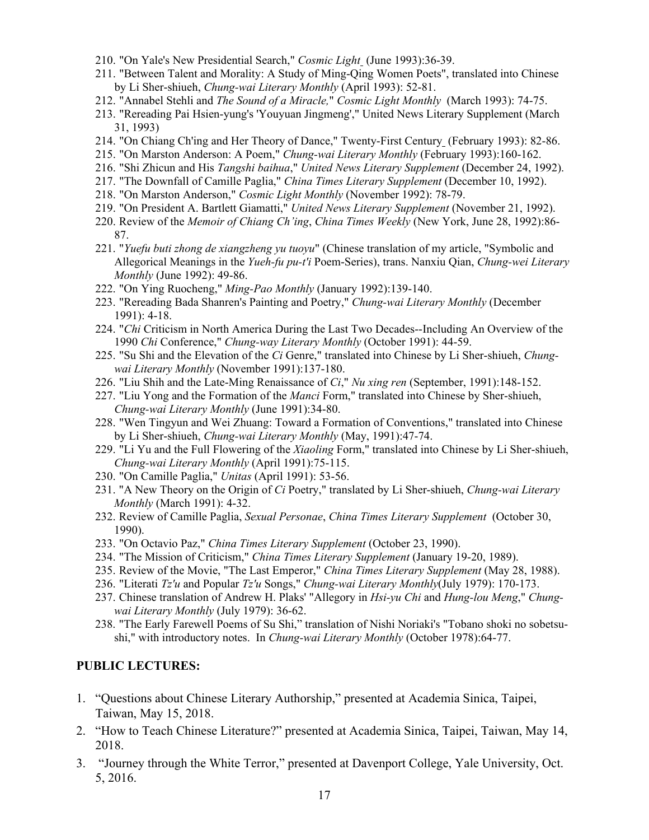- 210. "On Yale's New Presidential Search," *Cosmic Light* (June 1993):36-39.
- 211. "Between Talent and Morality: A Study of Ming-Qing Women Poets", translated into Chinese by Li Sher-shiueh, *Chung-wai Literary Monthly* (April 1993): 52-81.
- 212. "Annabel Stehli and *The Sound of a Miracle,*" *Cosmic Light Monthly* (March 1993): 74-75.
- 213. "Rereading Pai Hsien-yung's 'Youyuan Jingmeng'," United News Literary Supplement (March 31, 1993)
- 214. "On Chiang Ch'ing and Her Theory of Dance," Twenty-First Century (February 1993): 82-86.
- 215. "On Marston Anderson: A Poem," *Chung-wai Literary Monthly* (February 1993):160-162.
- 216. "Shi Zhicun and His *Tangshi baihua*," *United News Literary Supplement* (December 24, 1992).
- 217. "The Downfall of Camille Paglia," *China Times Literary Supplement* (December 10, 1992).
- 218. "On Marston Anderson," *Cosmic Light Monthly* (November 1992): 78-79.
- 219. "On President A. Bartlett Giamatti," *United News Literary Supplement* (November 21, 1992).
- 220. Review of the *Memoir of Chiang Ch'ing*, *China Times Weekly* (New York, June 28, 1992):86- 87.
- 221. "*Yuefu buti zhong de xiangzheng yu tuoyu*" (Chinese translation of my article, "Symbolic and Allegorical Meanings in the *Yueh-fu pu-t'i* Poem-Series), trans. Nanxiu Qian, *Chung-wei Literary Monthly* (June 1992): 49-86.
- 222. "On Ying Ruocheng," *Ming-Pao Monthly* (January 1992):139-140.
- 223. "Rereading Bada Shanren's Painting and Poetry," *Chung-wai Literary Monthly* (December 1991): 4-18.
- 224. "*Chi* Criticism in North America During the Last Two Decades--Including An Overview of the 1990 *Chi* Conference," *Chung-way Literary Monthly* (October 1991): 44-59.
- 225. "Su Shi and the Elevation of the *Ci* Genre," translated into Chinese by Li Sher-shiueh, *Chungwai Literary Monthly* (November 1991):137-180.
- 226. "Liu Shih and the Late-Ming Renaissance of *Ci*," *Nu xing ren* (September, 1991):148-152.
- 227. "Liu Yong and the Formation of the *Manci* Form," translated into Chinese by Sher-shiueh, *Chung-wai Literary Monthly* (June 1991):34-80.
- 228. "Wen Tingyun and Wei Zhuang: Toward a Formation of Conventions," translated into Chinese by Li Sher-shiueh, *Chung-wai Literary Monthly* (May, 1991):47-74.
- 229. "Li Yu and the Full Flowering of the *Xiaoling* Form," translated into Chinese by Li Sher-shiueh, *Chung-wai Literary Monthly* (April 1991):75-115.
- 230. "On Camille Paglia," *Unitas* (April 1991): 53-56.
- 231. "A New Theory on the Origin of *Ci* Poetry," translated by Li Sher-shiueh, *Chung-wai Literary Monthly* (March 1991): 4-32.
- 232. Review of Camille Paglia, *Sexual Personae*, *China Times Literary Supplement* (October 30, 1990).
- 233. "On Octavio Paz," *China Times Literary Supplement* (October 23, 1990).
- 234. "The Mission of Criticism," *China Times Literary Supplement* (January 19-20, 1989).
- 235. Review of the Movie, "The Last Emperor," *China Times Literary Supplement* (May 28, 1988).
- 236. "Literati *Tz'u* and Popular *Tz'u* Songs," *Chung-wai Literary Monthly*(July 1979): 170-173.
- 237. Chinese translation of Andrew H. Plaks' "Allegory in *Hsi-yu Chi* and *Hung-lou Meng*," *Chungwai Literary Monthly* (July 1979): 36-62.
- 238. "The Early Farewell Poems of Su Shi," translation of Nishi Noriaki's "Tobano shoki no sobetsushi," with introductory notes. In *Chung-wai Literary Monthly* (October 1978):64-77.

#### **PUBLIC LECTURES:**

- 1. "Questions about Chinese Literary Authorship," presented at Academia Sinica, Taipei, Taiwan, May 15, 2018.
- 2. "How to Teach Chinese Literature?" presented at Academia Sinica, Taipei, Taiwan, May 14, 2018.
- 3. "Journey through the White Terror," presented at Davenport College, Yale University, Oct. 5, 2016.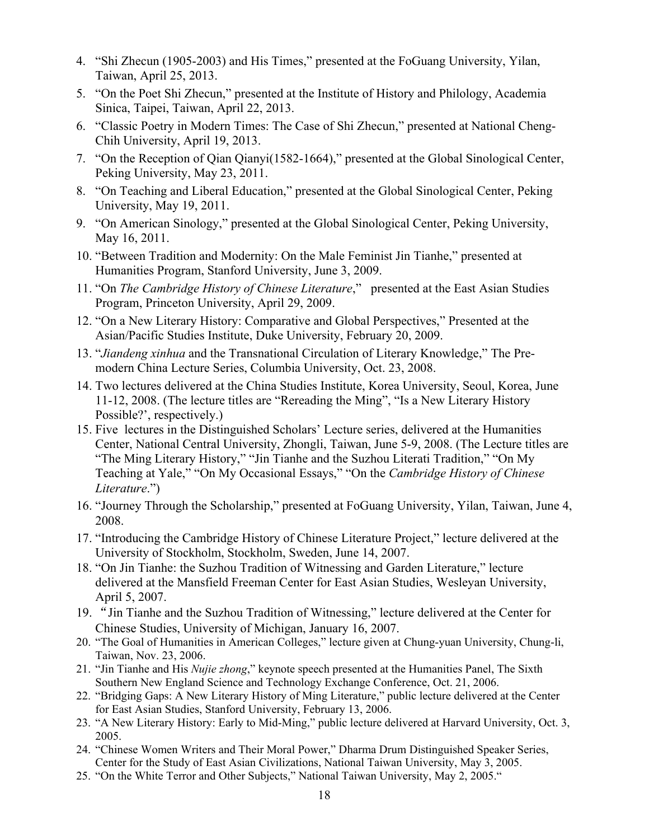- 4. "Shi Zhecun (1905-2003) and His Times," presented at the FoGuang University, Yilan, Taiwan, April 25, 2013.
- 5. "On the Poet Shi Zhecun," presented at the Institute of History and Philology, Academia Sinica, Taipei, Taiwan, April 22, 2013.
- 6. "Classic Poetry in Modern Times: The Case of Shi Zhecun," presented at National Cheng-Chih University, April 19, 2013.
- 7. "On the Reception of Qian Qianyi(1582-1664)," presented at the Global Sinological Center, Peking University, May 23, 2011.
- 8. "On Teaching and Liberal Education," presented at the Global Sinological Center, Peking University, May 19, 2011.
- 9. "On American Sinology," presented at the Global Sinological Center, Peking University, May 16, 2011.
- 10. "Between Tradition and Modernity: On the Male Feminist Jin Tianhe," presented at Humanities Program, Stanford University, June 3, 2009.
- 11. "On *The Cambridge History of Chinese Literature*," presented at the East Asian Studies Program, Princeton University, April 29, 2009.
- 12. "On a New Literary History: Comparative and Global Perspectives," Presented at the Asian/Pacific Studies Institute, Duke University, February 20, 2009.
- 13. "*Jiandeng xinhua* and the Transnational Circulation of Literary Knowledge," The Premodern China Lecture Series, Columbia University, Oct. 23, 2008.
- 14. Two lectures delivered at the China Studies Institute, Korea University, Seoul, Korea, June 11-12, 2008. (The lecture titles are "Rereading the Ming", "Is a New Literary History Possible?', respectively.)
- 15. Five lectures in the Distinguished Scholars' Lecture series, delivered at the Humanities Center, National Central University, Zhongli, Taiwan, June 5-9, 2008. (The Lecture titles are "The Ming Literary History," "Jin Tianhe and the Suzhou Literati Tradition," "On My Teaching at Yale," "On My Occasional Essays," "On the *Cambridge History of Chinese Literature*.")
- 16. "Journey Through the Scholarship," presented at FoGuang University, Yilan, Taiwan, June 4, 2008.
- 17. "Introducing the Cambridge History of Chinese Literature Project," lecture delivered at the University of Stockholm, Stockholm, Sweden, June 14, 2007.
- 18. "On Jin Tianhe: the Suzhou Tradition of Witnessing and Garden Literature," lecture delivered at the Mansfield Freeman Center for East Asian Studies, Wesleyan University, April 5, 2007.
- 19. "Jin Tianhe and the Suzhou Tradition of Witnessing," lecture delivered at the Center for Chinese Studies, University of Michigan, January 16, 2007.
- 20. "The Goal of Humanities in American Colleges," lecture given at Chung-yuan University, Chung-li, Taiwan, Nov. 23, 2006.
- 21. "Jin Tianhe and His *Nujie zhong*," keynote speech presented at the Humanities Panel, The Sixth Southern New England Science and Technology Exchange Conference, Oct. 21, 2006.
- 22. "Bridging Gaps: A New Literary History of Ming Literature," public lecture delivered at the Center for East Asian Studies, Stanford University, February 13, 2006.
- 23. "A New Literary History: Early to Mid-Ming," public lecture delivered at Harvard University, Oct. 3, 2005.
- 24. "Chinese Women Writers and Their Moral Power," Dharma Drum Distinguished Speaker Series, Center for the Study of East Asian Civilizations, National Taiwan University, May 3, 2005.
- 25. "On the White Terror and Other Subjects," National Taiwan University, May 2, 2005."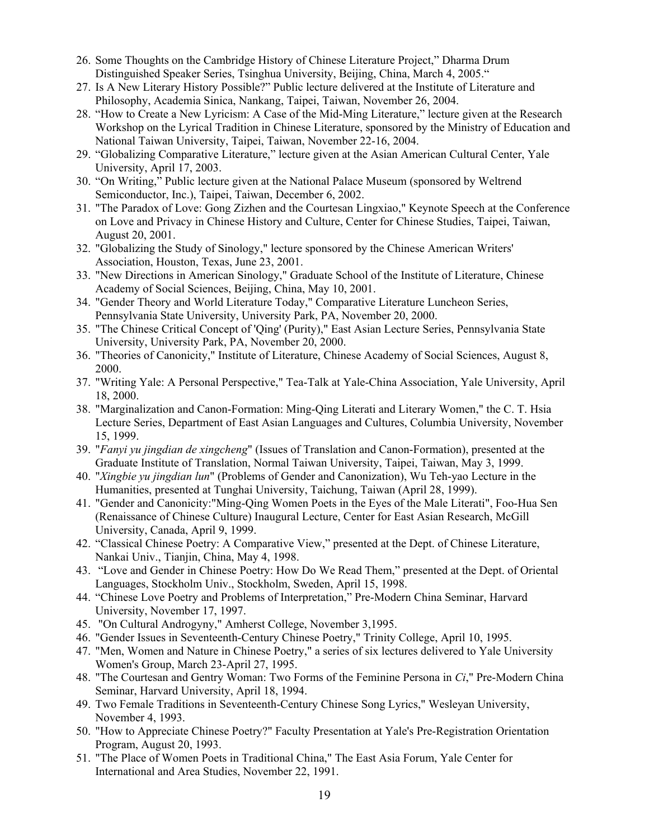- 26. Some Thoughts on the Cambridge History of Chinese Literature Project," Dharma Drum Distinguished Speaker Series, Tsinghua University, Beijing, China, March 4, 2005."
- 27. Is A New Literary History Possible?" Public lecture delivered at the Institute of Literature and Philosophy, Academia Sinica, Nankang, Taipei, Taiwan, November 26, 2004.
- 28. "How to Create a New Lyricism: A Case of the Mid-Ming Literature," lecture given at the Research Workshop on the Lyrical Tradition in Chinese Literature, sponsored by the Ministry of Education and National Taiwan University, Taipei, Taiwan, November 22-16, 2004.
- 29. "Globalizing Comparative Literature," lecture given at the Asian American Cultural Center, Yale University, April 17, 2003.
- 30. "On Writing," Public lecture given at the National Palace Museum (sponsored by Weltrend Semiconductor, Inc.), Taipei, Taiwan, December 6, 2002.
- 31. "The Paradox of Love: Gong Zizhen and the Courtesan Lingxiao," Keynote Speech at the Conference on Love and Privacy in Chinese History and Culture, Center for Chinese Studies, Taipei, Taiwan, August 20, 2001.
- 32. "Globalizing the Study of Sinology," lecture sponsored by the Chinese American Writers' Association, Houston, Texas, June 23, 2001.
- 33. "New Directions in American Sinology," Graduate School of the Institute of Literature, Chinese Academy of Social Sciences, Beijing, China, May 10, 2001.
- 34. "Gender Theory and World Literature Today," Comparative Literature Luncheon Series, Pennsylvania State University, University Park, PA, November 20, 2000.
- 35. "The Chinese Critical Concept of 'Qing' (Purity)," East Asian Lecture Series, Pennsylvania State University, University Park, PA, November 20, 2000.
- 36. "Theories of Canonicity," Institute of Literature, Chinese Academy of Social Sciences, August 8, 2000.
- 37. "Writing Yale: A Personal Perspective," Tea-Talk at Yale-China Association, Yale University, April 18, 2000.
- 38. "Marginalization and Canon-Formation: Ming-Qing Literati and Literary Women," the C. T. Hsia Lecture Series, Department of East Asian Languages and Cultures, Columbia University, November 15, 1999.
- 39. "*Fanyi yu jingdian de xingcheng*" (Issues of Translation and Canon-Formation), presented at the Graduate Institute of Translation, Normal Taiwan University, Taipei, Taiwan, May 3, 1999.
- 40. "*Xingbie yu jingdian lun*" (Problems of Gender and Canonization), Wu Teh-yao Lecture in the Humanities, presented at Tunghai University, Taichung, Taiwan (April 28, 1999).
- 41. "Gender and Canonicity:"Ming-Qing Women Poets in the Eyes of the Male Literati", Foo-Hua Sen (Renaissance of Chinese Culture) Inaugural Lecture, Center for East Asian Research, McGill University, Canada, April 9, 1999.
- 42. "Classical Chinese Poetry: A Comparative View," presented at the Dept. of Chinese Literature, Nankai Univ., Tianjin, China, May 4, 1998.
- 43. "Love and Gender in Chinese Poetry: How Do We Read Them," presented at the Dept. of Oriental Languages, Stockholm Univ., Stockholm, Sweden, April 15, 1998.
- 44. "Chinese Love Poetry and Problems of Interpretation," Pre-Modern China Seminar, Harvard University, November 17, 1997.
- 45. "On Cultural Androgyny," Amherst College, November 3,1995.
- 46. "Gender Issues in Seventeenth-Century Chinese Poetry," Trinity College, April 10, 1995.
- 47. "Men, Women and Nature in Chinese Poetry," a series of six lectures delivered to Yale University Women's Group, March 23-April 27, 1995.
- 48. "The Courtesan and Gentry Woman: Two Forms of the Feminine Persona in *Ci*," Pre-Modern China Seminar, Harvard University, April 18, 1994.
- 49. Two Female Traditions in Seventeenth-Century Chinese Song Lyrics," Wesleyan University, November 4, 1993.
- 50. "How to Appreciate Chinese Poetry?" Faculty Presentation at Yale's Pre-Registration Orientation Program, August 20, 1993.
- 51. "The Place of Women Poets in Traditional China," The East Asia Forum, Yale Center for International and Area Studies, November 22, 1991.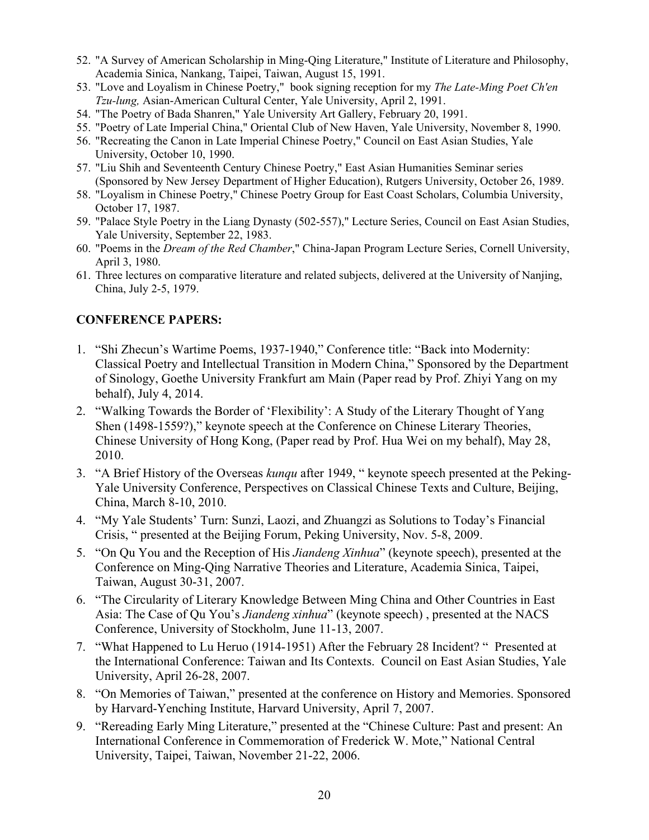- 52. "A Survey of American Scholarship in Ming-Qing Literature," Institute of Literature and Philosophy, Academia Sinica, Nankang, Taipei, Taiwan, August 15, 1991.
- 53. "Love and Loyalism in Chinese Poetry," book signing reception for my *The Late-Ming Poet Ch'en Tzu-lung,* Asian-American Cultural Center, Yale University, April 2, 1991.
- 54. "The Poetry of Bada Shanren," Yale University Art Gallery, February 20, 1991.
- 55. "Poetry of Late Imperial China," Oriental Club of New Haven, Yale University, November 8, 1990.
- 56. "Recreating the Canon in Late Imperial Chinese Poetry," Council on East Asian Studies, Yale University, October 10, 1990.
- 57. "Liu Shih and Seventeenth Century Chinese Poetry," East Asian Humanities Seminar series (Sponsored by New Jersey Department of Higher Education), Rutgers University, October 26, 1989.
- 58. "Loyalism in Chinese Poetry," Chinese Poetry Group for East Coast Scholars, Columbia University, October 17, 1987.
- 59. "Palace Style Poetry in the Liang Dynasty (502-557)," Lecture Series, Council on East Asian Studies, Yale University, September 22, 1983.
- 60. "Poems in the *Dream of the Red Chamber*," China-Japan Program Lecture Series, Cornell University, April 3, 1980.
- 61. Three lectures on comparative literature and related subjects, delivered at the University of Nanjing, China, July 2-5, 1979.

## **CONFERENCE PAPERS:**

- 1. "Shi Zhecun's Wartime Poems, 1937-1940," Conference title: "Back into Modernity: Classical Poetry and Intellectual Transition in Modern China," Sponsored by the Department of Sinology, Goethe University Frankfurt am Main (Paper read by Prof. Zhiyi Yang on my behalf), July 4, 2014.
- 2. "Walking Towards the Border of 'Flexibility': A Study of the Literary Thought of Yang Shen (1498-1559?)," keynote speech at the Conference on Chinese Literary Theories, Chinese University of Hong Kong, (Paper read by Prof. Hua Wei on my behalf), May 28, 2010.
- 3. "A Brief History of the Overseas *kunqu* after 1949, " keynote speech presented at the Peking-Yale University Conference, Perspectives on Classical Chinese Texts and Culture, Beijing, China, March 8-10, 2010.
- 4. "My Yale Students' Turn: Sunzi, Laozi, and Zhuangzi as Solutions to Today's Financial Crisis, " presented at the Beijing Forum, Peking University, Nov. 5-8, 2009.
- 5. "On Qu You and the Reception of His *Jiandeng Xinhua*" (keynote speech), presented at the Conference on Ming-Qing Narrative Theories and Literature, Academia Sinica, Taipei, Taiwan, August 30-31, 2007.
- 6. "The Circularity of Literary Knowledge Between Ming China and Other Countries in East Asia: The Case of Qu You's *Jiandeng xinhua*" (keynote speech) , presented at the NACS Conference, University of Stockholm, June 11-13, 2007.
- 7. "What Happened to Lu Heruo (1914-1951) After the February 28 Incident? " Presented at the International Conference: Taiwan and Its Contexts. Council on East Asian Studies, Yale University, April 26-28, 2007.
- 8. "On Memories of Taiwan," presented at the conference on History and Memories. Sponsored by Harvard-Yenching Institute, Harvard University, April 7, 2007.
- 9. "Rereading Early Ming Literature," presented at the "Chinese Culture: Past and present: An International Conference in Commemoration of Frederick W. Mote," National Central University, Taipei, Taiwan, November 21-22, 2006.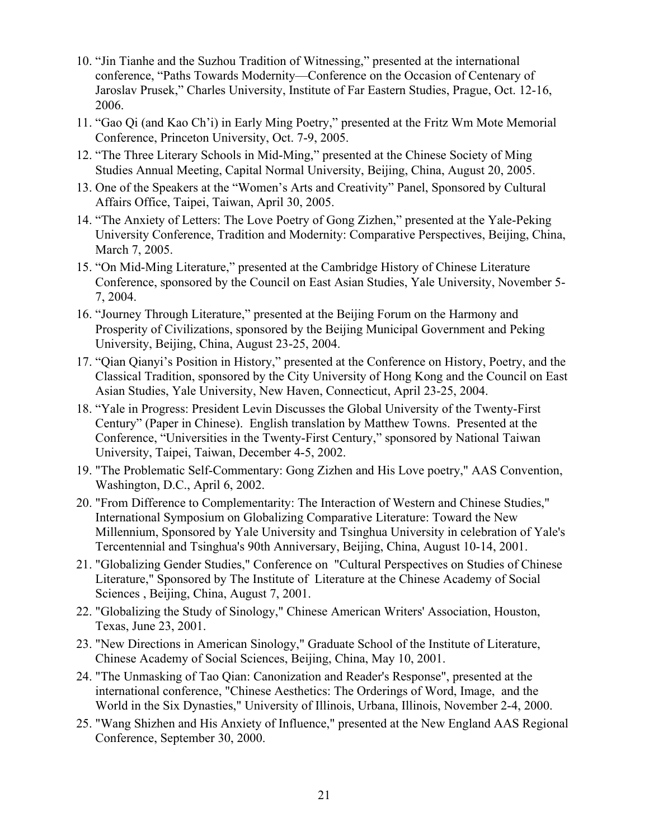- 10. "Jin Tianhe and the Suzhou Tradition of Witnessing," presented at the international conference, "Paths Towards Modernity—Conference on the Occasion of Centenary of Jaroslav Prusek," Charles University, Institute of Far Eastern Studies, Prague, Oct. 12-16, 2006.
- 11. "Gao Qi (and Kao Ch'i) in Early Ming Poetry," presented at the Fritz Wm Mote Memorial Conference, Princeton University, Oct. 7-9, 2005.
- 12. "The Three Literary Schools in Mid-Ming," presented at the Chinese Society of Ming Studies Annual Meeting, Capital Normal University, Beijing, China, August 20, 2005.
- 13. One of the Speakers at the "Women's Arts and Creativity" Panel, Sponsored by Cultural Affairs Office, Taipei, Taiwan, April 30, 2005.
- 14. "The Anxiety of Letters: The Love Poetry of Gong Zizhen," presented at the Yale-Peking University Conference, Tradition and Modernity: Comparative Perspectives, Beijing, China, March 7, 2005.
- 15. "On Mid-Ming Literature," presented at the Cambridge History of Chinese Literature Conference, sponsored by the Council on East Asian Studies, Yale University, November 5- 7, 2004.
- 16. "Journey Through Literature," presented at the Beijing Forum on the Harmony and Prosperity of Civilizations, sponsored by the Beijing Municipal Government and Peking University, Beijing, China, August 23-25, 2004.
- 17. "Qian Qianyi's Position in History," presented at the Conference on History, Poetry, and the Classical Tradition, sponsored by the City University of Hong Kong and the Council on East Asian Studies, Yale University, New Haven, Connecticut, April 23-25, 2004.
- 18. "Yale in Progress: President Levin Discusses the Global University of the Twenty-First Century" (Paper in Chinese). English translation by Matthew Towns. Presented at the Conference, "Universities in the Twenty-First Century," sponsored by National Taiwan University, Taipei, Taiwan, December 4-5, 2002.
- 19. "The Problematic Self-Commentary: Gong Zizhen and His Love poetry," AAS Convention, Washington, D.C., April 6, 2002.
- 20. "From Difference to Complementarity: The Interaction of Western and Chinese Studies," International Symposium on Globalizing Comparative Literature: Toward the New Millennium, Sponsored by Yale University and Tsinghua University in celebration of Yale's Tercentennial and Tsinghua's 90th Anniversary, Beijing, China, August 10-14, 2001.
- 21. "Globalizing Gender Studies," Conference on "Cultural Perspectives on Studies of Chinese Literature," Sponsored by The Institute of Literature at the Chinese Academy of Social Sciences , Beijing, China, August 7, 2001.
- 22. "Globalizing the Study of Sinology," Chinese American Writers' Association, Houston, Texas, June 23, 2001.
- 23. "New Directions in American Sinology," Graduate School of the Institute of Literature, Chinese Academy of Social Sciences, Beijing, China, May 10, 2001.
- 24. "The Unmasking of Tao Qian: Canonization and Reader's Response", presented at the international conference, "Chinese Aesthetics: The Orderings of Word, Image, and the World in the Six Dynasties," University of Illinois, Urbana, Illinois, November 2-4, 2000.
- 25. "Wang Shizhen and His Anxiety of Influence," presented at the New England AAS Regional Conference, September 30, 2000.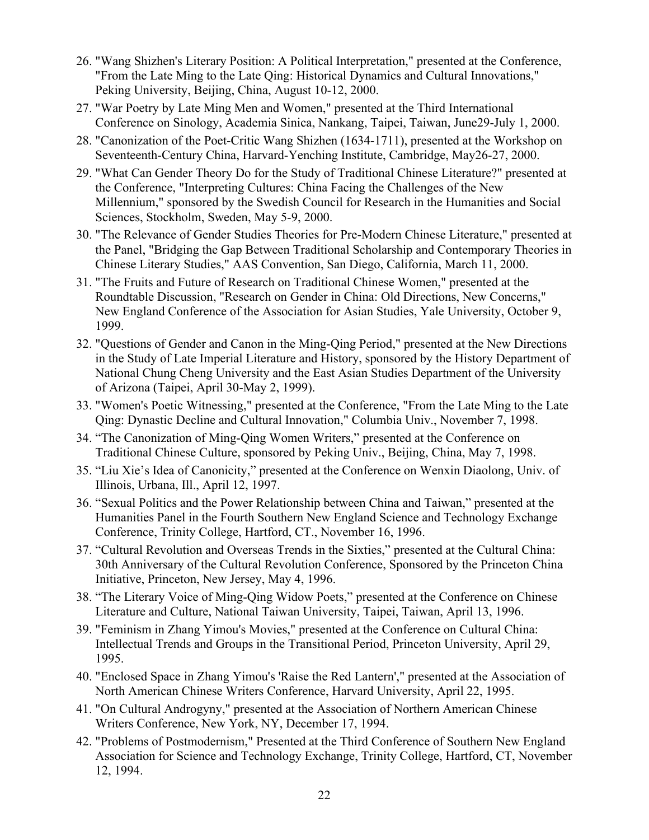- 26. "Wang Shizhen's Literary Position: A Political Interpretation," presented at the Conference, "From the Late Ming to the Late Qing: Historical Dynamics and Cultural Innovations," Peking University, Beijing, China, August 10-12, 2000.
- 27. "War Poetry by Late Ming Men and Women," presented at the Third International Conference on Sinology, Academia Sinica, Nankang, Taipei, Taiwan, June29-July 1, 2000.
- 28. "Canonization of the Poet-Critic Wang Shizhen (1634-1711), presented at the Workshop on Seventeenth-Century China, Harvard-Yenching Institute, Cambridge, May26-27, 2000.
- 29. "What Can Gender Theory Do for the Study of Traditional Chinese Literature?" presented at the Conference, "Interpreting Cultures: China Facing the Challenges of the New Millennium," sponsored by the Swedish Council for Research in the Humanities and Social Sciences, Stockholm, Sweden, May 5-9, 2000.
- 30. "The Relevance of Gender Studies Theories for Pre-Modern Chinese Literature," presented at the Panel, "Bridging the Gap Between Traditional Scholarship and Contemporary Theories in Chinese Literary Studies," AAS Convention, San Diego, California, March 11, 2000.
- 31. "The Fruits and Future of Research on Traditional Chinese Women," presented at the Roundtable Discussion, "Research on Gender in China: Old Directions, New Concerns," New England Conference of the Association for Asian Studies, Yale University, October 9, 1999.
- 32. "Questions of Gender and Canon in the Ming-Qing Period," presented at the New Directions in the Study of Late Imperial Literature and History, sponsored by the History Department of National Chung Cheng University and the East Asian Studies Department of the University of Arizona (Taipei, April 30-May 2, 1999).
- 33. "Women's Poetic Witnessing," presented at the Conference, "From the Late Ming to the Late Qing: Dynastic Decline and Cultural Innovation," Columbia Univ., November 7, 1998.
- 34. "The Canonization of Ming-Qing Women Writers," presented at the Conference on Traditional Chinese Culture, sponsored by Peking Univ., Beijing, China, May 7, 1998.
- 35. "Liu Xie's Idea of Canonicity," presented at the Conference on Wenxin Diaolong, Univ. of Illinois, Urbana, Ill., April 12, 1997.
- 36. "Sexual Politics and the Power Relationship between China and Taiwan," presented at the Humanities Panel in the Fourth Southern New England Science and Technology Exchange Conference, Trinity College, Hartford, CT., November 16, 1996.
- 37. "Cultural Revolution and Overseas Trends in the Sixties," presented at the Cultural China: 30th Anniversary of the Cultural Revolution Conference, Sponsored by the Princeton China Initiative, Princeton, New Jersey, May 4, 1996.
- 38. "The Literary Voice of Ming-Qing Widow Poets," presented at the Conference on Chinese Literature and Culture, National Taiwan University, Taipei, Taiwan, April 13, 1996.
- 39. "Feminism in Zhang Yimou's Movies," presented at the Conference on Cultural China: Intellectual Trends and Groups in the Transitional Period, Princeton University, April 29, 1995.
- 40. "Enclosed Space in Zhang Yimou's 'Raise the Red Lantern'," presented at the Association of North American Chinese Writers Conference, Harvard University, April 22, 1995.
- 41. "On Cultural Androgyny," presented at the Association of Northern American Chinese Writers Conference, New York, NY, December 17, 1994.
- 42. "Problems of Postmodernism," Presented at the Third Conference of Southern New England Association for Science and Technology Exchange, Trinity College, Hartford, CT, November 12, 1994.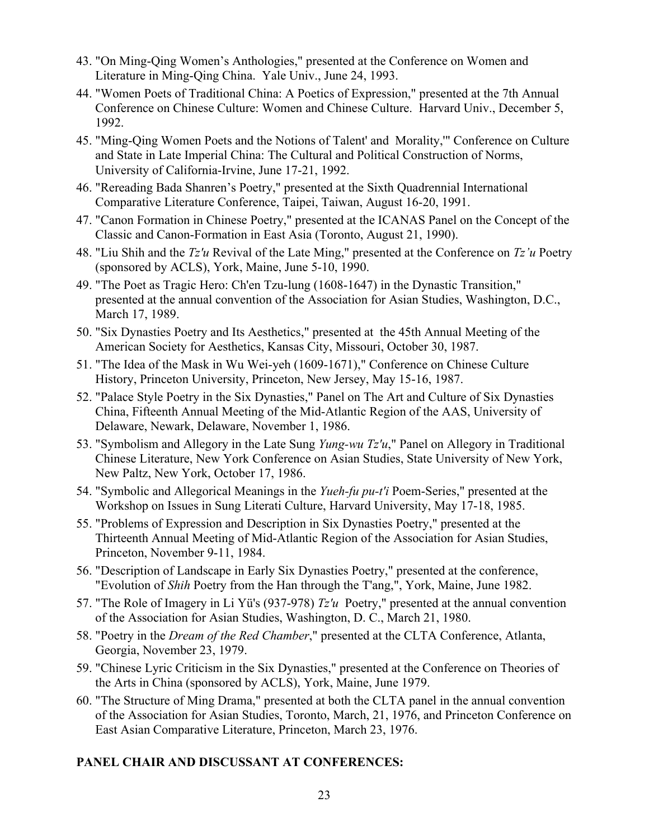- 43. "On Ming-Qing Women's Anthologies," presented at the Conference on Women and Literature in Ming-Qing China. Yale Univ., June 24, 1993.
- 44. "Women Poets of Traditional China: A Poetics of Expression," presented at the 7th Annual Conference on Chinese Culture: Women and Chinese Culture. Harvard Univ., December 5, 1992.
- 45. "Ming-Qing Women Poets and the Notions of Talent' and Morality,'" Conference on Culture and State in Late Imperial China: The Cultural and Political Construction of Norms, University of California-Irvine, June 17-21, 1992.
- 46. "Rereading Bada Shanren's Poetry," presented at the Sixth Quadrennial International Comparative Literature Conference, Taipei, Taiwan, August 16-20, 1991.
- 47. "Canon Formation in Chinese Poetry," presented at the ICANAS Panel on the Concept of the Classic and Canon-Formation in East Asia (Toronto, August 21, 1990).
- 48. "Liu Shih and the *Tz'u* Revival of the Late Ming," presented at the Conference on *Tz'u* Poetry (sponsored by ACLS), York, Maine, June 5-10, 1990.
- 49. "The Poet as Tragic Hero: Ch'en Tzu-lung (1608-1647) in the Dynastic Transition," presented at the annual convention of the Association for Asian Studies, Washington, D.C., March 17, 1989.
- 50. "Six Dynasties Poetry and Its Aesthetics," presented at the 45th Annual Meeting of the American Society for Aesthetics, Kansas City, Missouri, October 30, 1987.
- 51. "The Idea of the Mask in Wu Wei-yeh (1609-1671)," Conference on Chinese Culture History, Princeton University, Princeton, New Jersey, May 15-16, 1987.
- 52. "Palace Style Poetry in the Six Dynasties," Panel on The Art and Culture of Six Dynasties China, Fifteenth Annual Meeting of the Mid-Atlantic Region of the AAS, University of Delaware, Newark, Delaware, November 1, 1986.
- 53. "Symbolism and Allegory in the Late Sung *Yung-wu Tz'u*," Panel on Allegory in Traditional Chinese Literature, New York Conference on Asian Studies, State University of New York, New Paltz, New York, October 17, 1986.
- 54. "Symbolic and Allegorical Meanings in the *Yueh-fu pu-t'i* Poem-Series," presented at the Workshop on Issues in Sung Literati Culture, Harvard University, May 17-18, 1985.
- 55. "Problems of Expression and Description in Six Dynasties Poetry," presented at the Thirteenth Annual Meeting of Mid-Atlantic Region of the Association for Asian Studies, Princeton, November 9-11, 1984.
- 56. "Description of Landscape in Early Six Dynasties Poetry," presented at the conference, "Evolution of *Shih* Poetry from the Han through the T'ang,", York, Maine, June 1982.
- 57. "The Role of Imagery in Li Yü's (937-978) *Tz'u* Poetry," presented at the annual convention of the Association for Asian Studies, Washington, D. C., March 21, 1980.
- 58. "Poetry in the *Dream of the Red Chamber*," presented at the CLTA Conference, Atlanta, Georgia, November 23, 1979.
- 59. "Chinese Lyric Criticism in the Six Dynasties," presented at the Conference on Theories of the Arts in China (sponsored by ACLS), York, Maine, June 1979.
- 60. "The Structure of Ming Drama," presented at both the CLTA panel in the annual convention of the Association for Asian Studies, Toronto, March, 21, 1976, and Princeton Conference on East Asian Comparative Literature, Princeton, March 23, 1976.

# **PANEL CHAIR AND DISCUSSANT AT CONFERENCES:**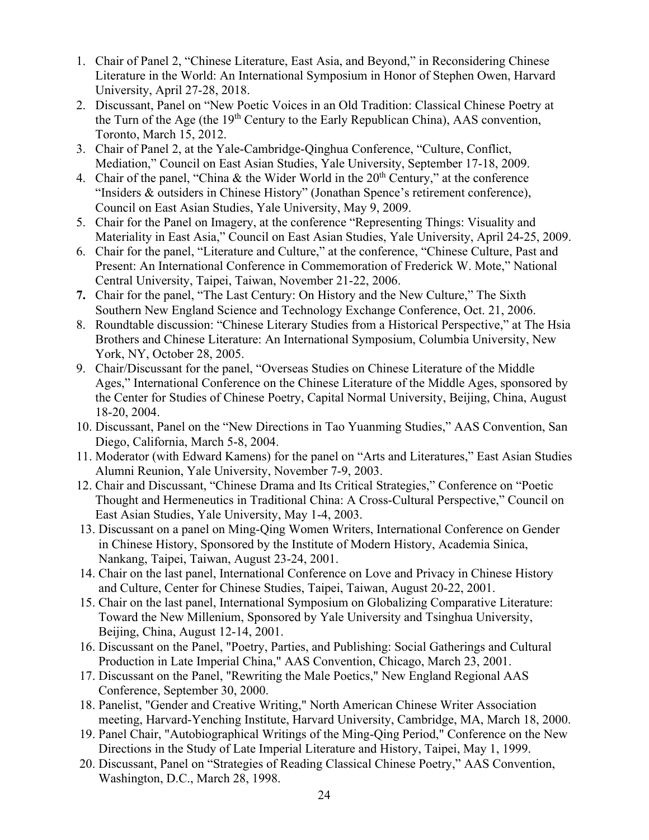- 1. Chair of Panel 2, "Chinese Literature, East Asia, and Beyond," in Reconsidering Chinese Literature in the World: An International Symposium in Honor of Stephen Owen, Harvard University, April 27-28, 2018.
- 2. Discussant, Panel on "New Poetic Voices in an Old Tradition: Classical Chinese Poetry at the Turn of the Age (the  $19<sup>th</sup>$  Century to the Early Republican China), AAS convention, Toronto, March 15, 2012.
- 3. Chair of Panel 2, at the Yale-Cambridge-Qinghua Conference, "Culture, Conflict, Mediation," Council on East Asian Studies, Yale University, September 17-18, 2009.
- 4. Chair of the panel, "China & the Wider World in the  $20<sup>th</sup>$  Century," at the conference "Insiders & outsiders in Chinese History" (Jonathan Spence's retirement conference), Council on East Asian Studies, Yale University, May 9, 2009.
- 5. Chair for the Panel on Imagery, at the conference "Representing Things: Visuality and Materiality in East Asia," Council on East Asian Studies, Yale University, April 24-25, 2009.
- 6. Chair for the panel, "Literature and Culture," at the conference, "Chinese Culture, Past and Present: An International Conference in Commemoration of Frederick W. Mote," National Central University, Taipei, Taiwan, November 21-22, 2006.
- **7.** Chair for the panel, "The Last Century: On History and the New Culture," The Sixth Southern New England Science and Technology Exchange Conference, Oct. 21, 2006.
- 8. Roundtable discussion: "Chinese Literary Studies from a Historical Perspective," at The Hsia Brothers and Chinese Literature: An International Symposium, Columbia University, New York, NY, October 28, 2005.
- 9. Chair/Discussant for the panel, "Overseas Studies on Chinese Literature of the Middle Ages," International Conference on the Chinese Literature of the Middle Ages, sponsored by the Center for Studies of Chinese Poetry, Capital Normal University, Beijing, China, August 18-20, 2004.
- 10. Discussant, Panel on the "New Directions in Tao Yuanming Studies," AAS Convention, San Diego, California, March 5-8, 2004.
- 11. Moderator (with Edward Kamens) for the panel on "Arts and Literatures," East Asian Studies Alumni Reunion, Yale University, November 7-9, 2003.
- 12. Chair and Discussant, "Chinese Drama and Its Critical Strategies," Conference on "Poetic Thought and Hermeneutics in Traditional China: A Cross-Cultural Perspective," Council on East Asian Studies, Yale University, May 1-4, 2003.
- 13. Discussant on a panel on Ming-Qing Women Writers, International Conference on Gender in Chinese History, Sponsored by the Institute of Modern History, Academia Sinica, Nankang, Taipei, Taiwan, August 23-24, 2001.
- 14. Chair on the last panel, International Conference on Love and Privacy in Chinese History and Culture, Center for Chinese Studies, Taipei, Taiwan, August 20-22, 2001.
- 15. Chair on the last panel, International Symposium on Globalizing Comparative Literature: Toward the New Millenium, Sponsored by Yale University and Tsinghua University, Beijing, China, August 12-14, 2001.
- 16. Discussant on the Panel, "Poetry, Parties, and Publishing: Social Gatherings and Cultural Production in Late Imperial China," AAS Convention, Chicago, March 23, 2001.
- 17. Discussant on the Panel, "Rewriting the Male Poetics," New England Regional AAS Conference, September 30, 2000.
- 18. Panelist, "Gender and Creative Writing," North American Chinese Writer Association meeting, Harvard-Yenching Institute, Harvard University, Cambridge, MA, March 18, 2000.
- 19. Panel Chair, "Autobiographical Writings of the Ming-Qing Period," Conference on the New Directions in the Study of Late Imperial Literature and History, Taipei, May 1, 1999.
- 20. Discussant, Panel on "Strategies of Reading Classical Chinese Poetry," AAS Convention, Washington, D.C., March 28, 1998.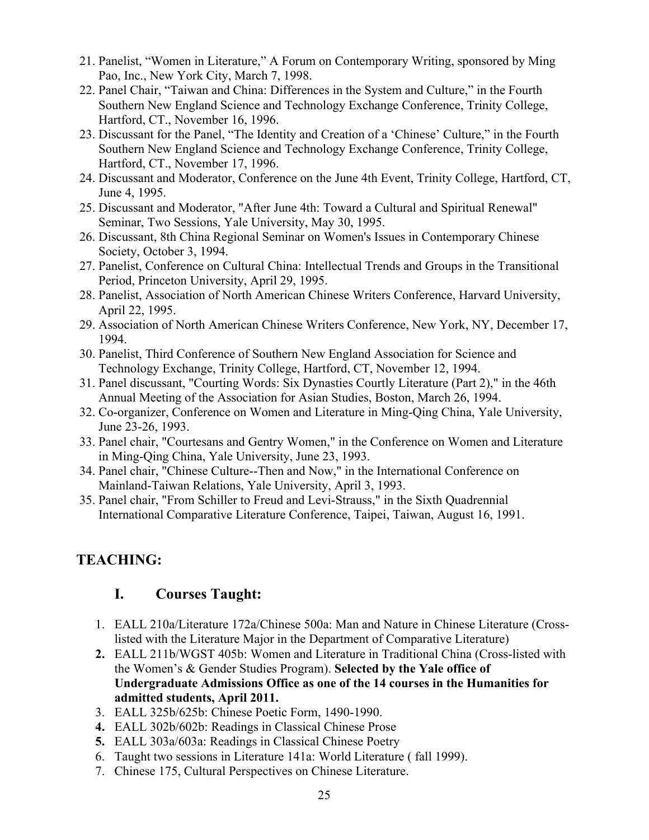- 21. Panelist, "Women in Literature," A Forum on Contemporary Writing, sponsored by Ming Pao, Inc., New York City, March 7, 1998.
- 22. Panel Chair, "Taiwan and China: Differences in the System and Culture," in the Fourth Southern New England Science and Technology Exchange Conference, Trinity College, Hartford, CT., November 16, 1996.
- 23. Discussant for the Panel, "The Identity and Creation of a 'Chinese' Culture," in the Fourth Southern New England Science and Technology Exchange Conference, Trinity College, Hartford, CT., November 17, 1996.
- 24. Discussant and Moderator, Conference on the June 4th Event, Trinity College, Hartford, CT, June 4, 1995.
- 25. Discussant and Moderator, "After June 4th: Toward a Cultural and Spiritual Renewal" Seminar, Two Sessions, Yale University, May 30, 1995.
- 26. Discussant, 8th China Regional Seminar on Women's Issues in Contemporary Chinese Society, October 3, 1994.
- 27. Panelist, Conference on Cultural China: Intellectual Trends and Groups in the Transitional Period, Princeton University, April 29, 1995.
- 28. Panelist, Association of North American Chinese Writers Conference, Harvard University, April 22, 1995.
- 29. Association of North American Chinese Writers Conference, New York, NY, December 17, 1994.
- 30. Panelist, Third Conference of Southern New England Association for Science and Technology Exchange, Trinity College, Hartford, CT, November 12, 1994.
- 31. Panel discussant, "Courting Words: Six Dynasties Courtly Literature (Part 2)," in the 46th Annual Meeting of the Association for Asian Studies, Boston, March 26, 1994.
- 32. Co-organizer, Conference on Women and Literature in Ming-Qing China, Yale University, June 23-26, 1993.
- 33. Panel chair, "Courtesans and Gentry Women," in the Conference on Women and Literature in Ming-Qing China, Yale University, June 23, 1993.
- 34. Panel chair, "Chinese Culture--Then and Now," in the International Conference on Mainland-Taiwan Relations, Yale University, April 3, 1993.
- 35. Panel chair, "From Schiller to Freud and Levi-Strauss," in the Sixth Quadrennial International Comparative Literature Conference, Taipei, Taiwan, August 16, 1991.

# **TEACHING:**

# **I. Courses Taught:**

- 1. EALL 210a/Literature 172a/Chinese 500a: Man and Nature in Chinese Literature (Crosslisted with the Literature Major in the Department of Comparative Literature)
- **2.** EALL 211b/WGST 405b: Women and Literature in Traditional China (Cross-listed with the Women's & Gender Studies Program). **Selected by the Yale office of Undergraduate Admissions Office as one of the 14 courses in the Humanities for admitted students, April 2011.**
- 3. EALL 325b/625b: Chinese Poetic Form, 1490-1990.
- **4.** EALL 302b/602b: Readings in Classical Chinese Prose
- **5.** EALL 303a/603a: Readings in Classical Chinese Poetry
- 6. Taught two sessions in Literature 141a: World Literature ( fall 1999).
- 7. Chinese 175, Cultural Perspectives on Chinese Literature.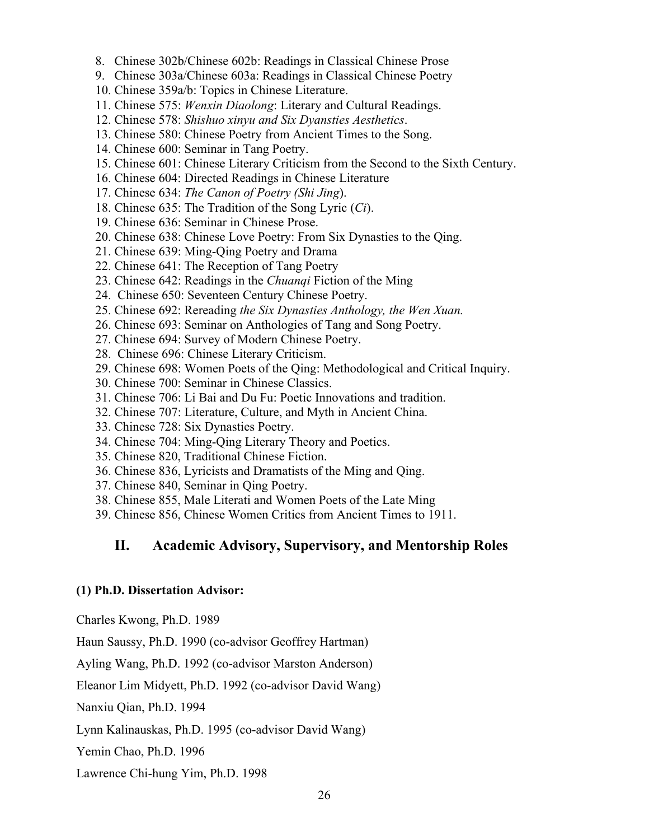- 8. Chinese 302b/Chinese 602b: Readings in Classical Chinese Prose
- 9. Chinese 303a/Chinese 603a: Readings in Classical Chinese Poetry
- 10. Chinese 359a/b: Topics in Chinese Literature.
- 11. Chinese 575: *Wenxin Diaolong*: Literary and Cultural Readings.
- 12. Chinese 578: *Shishuo xinyu and Six Dyansties Aesthetics*.
- 13. Chinese 580: Chinese Poetry from Ancient Times to the Song.
- 14. Chinese 600: Seminar in Tang Poetry.
- 15. Chinese 601: Chinese Literary Criticism from the Second to the Sixth Century.
- 16. Chinese 604: Directed Readings in Chinese Literature
- 17. Chinese 634: *The Canon of Poetry (Shi Jing*).
- 18. Chinese 635: The Tradition of the Song Lyric (*Ci*).
- 19. Chinese 636: Seminar in Chinese Prose.
- 20. Chinese 638: Chinese Love Poetry: From Six Dynasties to the Qing.
- 21. Chinese 639: Ming-Qing Poetry and Drama
- 22. Chinese 641: The Reception of Tang Poetry
- 23. Chinese 642: Readings in the *Chuanqi* Fiction of the Ming
- 24. Chinese 650: Seventeen Century Chinese Poetry.
- 25. Chinese 692: Rereading *the Six Dynasties Anthology, the Wen Xuan.*
- 26. Chinese 693: Seminar on Anthologies of Tang and Song Poetry.
- 27. Chinese 694: Survey of Modern Chinese Poetry.
- 28. Chinese 696: Chinese Literary Criticism.
- 29. Chinese 698: Women Poets of the Qing: Methodological and Critical Inquiry.
- 30. Chinese 700: Seminar in Chinese Classics.
- 31. Chinese 706: Li Bai and Du Fu: Poetic Innovations and tradition.
- 32. Chinese 707: Literature, Culture, and Myth in Ancient China.
- 33. Chinese 728: Six Dynasties Poetry.
- 34. Chinese 704: Ming-Qing Literary Theory and Poetics.
- 35. Chinese 820, Traditional Chinese Fiction.
- 36. Chinese 836, Lyricists and Dramatists of the Ming and Qing.
- 37. Chinese 840, Seminar in Qing Poetry.
- 38. Chinese 855, Male Literati and Women Poets of the Late Ming
- 39. Chinese 856, Chinese Women Critics from Ancient Times to 1911.

# **II. Academic Advisory, Supervisory, and Mentorship Roles**

#### **(1) Ph.D. Dissertation Advisor:**

Charles Kwong, Ph.D. 1989

Haun Saussy, Ph.D. 1990 (co-advisor Geoffrey Hartman)

Ayling Wang, Ph.D. 1992 (co-advisor Marston Anderson)

Eleanor Lim Midyett, Ph.D. 1992 (co-advisor David Wang)

Nanxiu Qian, Ph.D. 1994

Lynn Kalinauskas, Ph.D. 1995 (co-advisor David Wang)

Yemin Chao, Ph.D. 1996

Lawrence Chi-hung Yim, Ph.D. 1998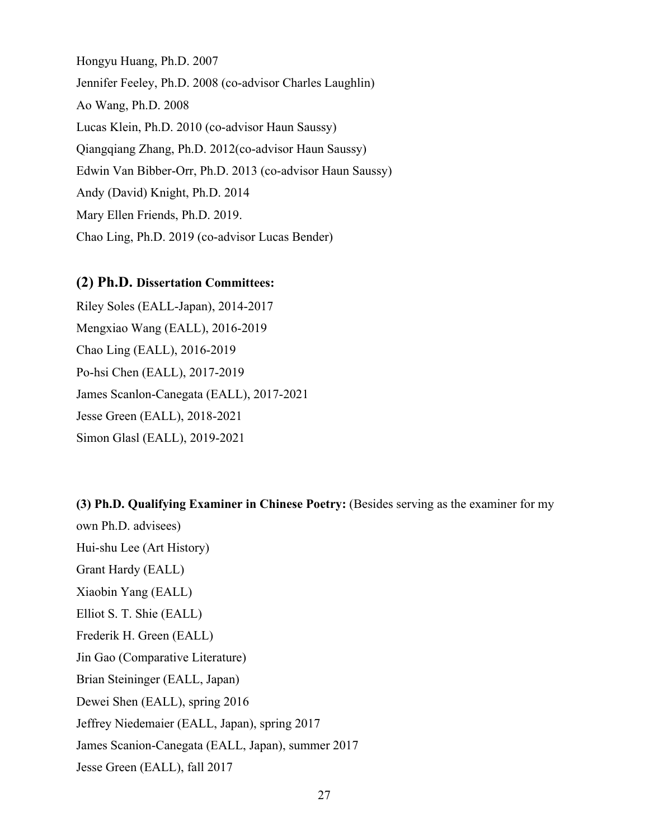Hongyu Huang, Ph.D. 2007 Jennifer Feeley, Ph.D. 2008 (co-advisor Charles Laughlin) Ao Wang, Ph.D. 2008 Lucas Klein, Ph.D. 2010 (co-advisor Haun Saussy) Qiangqiang Zhang, Ph.D. 2012(co-advisor Haun Saussy) Edwin Van Bibber-Orr, Ph.D. 2013 (co-advisor Haun Saussy) Andy (David) Knight, Ph.D. 2014 Mary Ellen Friends, Ph.D. 2019. Chao Ling, Ph.D. 2019 (co-advisor Lucas Bender)

# **(2) Ph.D. Dissertation Committees:**

Riley Soles (EALL-Japan), 2014-2017 Mengxiao Wang (EALL), 2016-2019 Chao Ling (EALL), 2016-2019 Po-hsi Chen (EALL), 2017-2019 James Scanlon-Canegata (EALL), 2017-2021 Jesse Green (EALL), 2018-2021 Simon Glasl (EALL), 2019-2021

**(3) Ph.D. Qualifying Examiner in Chinese Poetry:** (Besides serving as the examiner for my own Ph.D. advisees) Hui-shu Lee (Art History) Grant Hardy (EALL) Xiaobin Yang (EALL) Elliot S. T. Shie (EALL) Frederik H. Green (EALL) Jin Gao (Comparative Literature) Brian Steininger (EALL, Japan) Dewei Shen (EALL), spring 2016 Jeffrey Niedemaier (EALL, Japan), spring 2017 James Scanion-Canegata (EALL, Japan), summer 2017 Jesse Green (EALL), fall 2017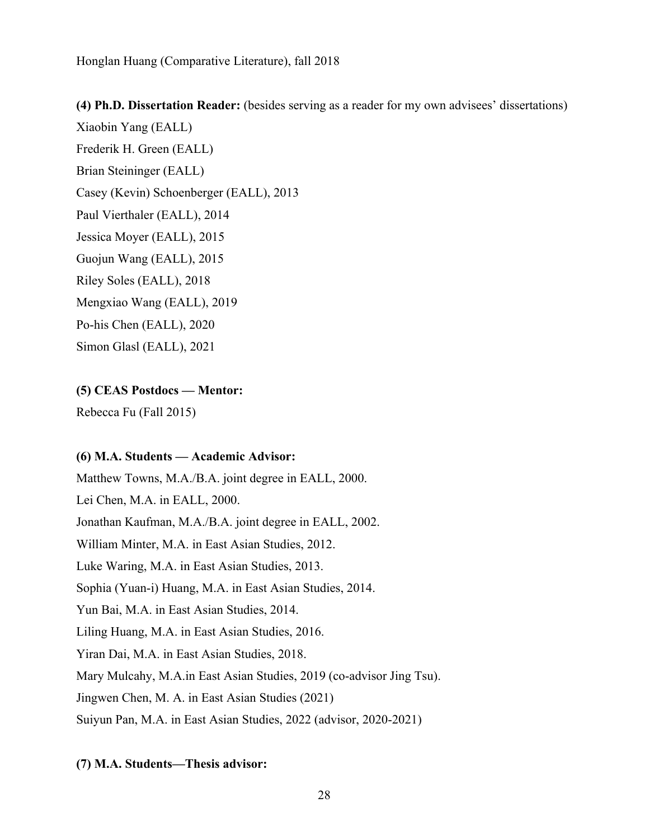## **(4) Ph.D. Dissertation Reader:** (besides serving as a reader for my own advisees' dissertations)

Xiaobin Yang (EALL) Frederik H. Green (EALL) Brian Steininger (EALL) Casey (Kevin) Schoenberger (EALL), 2013 Paul Vierthaler (EALL), 2014 Jessica Moyer (EALL), 2015 Guojun Wang (EALL), 2015 Riley Soles (EALL), 2018 Mengxiao Wang (EALL), 2019 Po-his Chen (EALL), 2020 Simon Glasl (EALL), 2021

## **(5) CEAS Postdocs — Mentor:**

Rebecca Fu (Fall 2015)

#### **(6) M.A. Students — Academic Advisor:**

Matthew Towns, M.A./B.A. joint degree in EALL, 2000. Lei Chen, M.A. in EALL, 2000. Jonathan Kaufman, M.A./B.A. joint degree in EALL, 2002. William Minter, M.A. in East Asian Studies, 2012. Luke Waring, M.A. in East Asian Studies, 2013. Sophia (Yuan-i) Huang, M.A. in East Asian Studies, 2014. Yun Bai, M.A. in East Asian Studies, 2014. Liling Huang, M.A. in East Asian Studies, 2016. Yiran Dai, M.A. in East Asian Studies, 2018. Mary Mulcahy, M.A.in East Asian Studies, 2019 (co-advisor Jing Tsu). Jingwen Chen, M. A. in East Asian Studies (2021) Suiyun Pan, M.A. in East Asian Studies, 2022 (advisor, 2020-2021)

### **(7) M.A. Students—Thesis advisor:**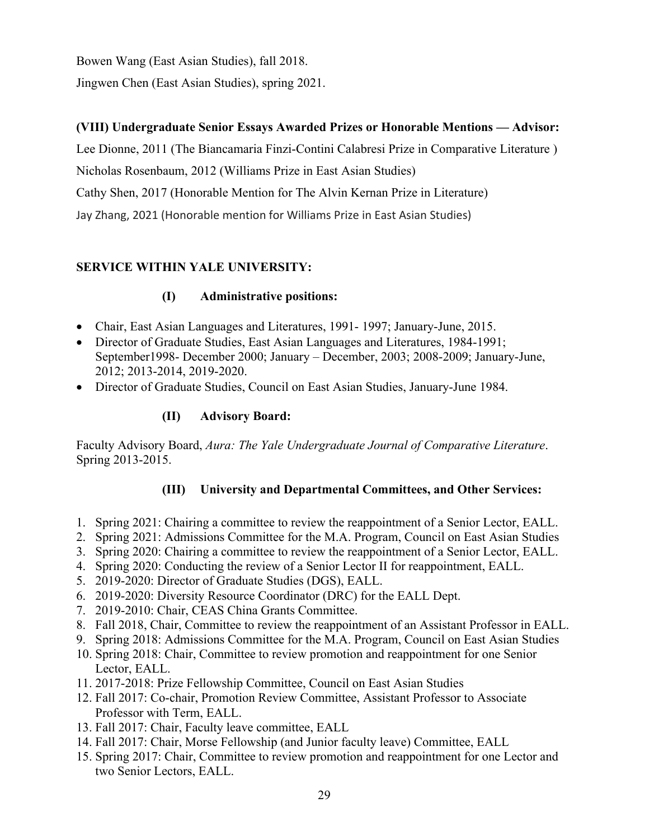Bowen Wang (East Asian Studies), fall 2018.

Jingwen Chen (East Asian Studies), spring 2021.

# **(VIII) Undergraduate Senior Essays Awarded Prizes or Honorable Mentions — Advisor:**

Lee Dionne, 2011 (The Biancamaria Finzi-Contini Calabresi Prize in Comparative Literature )

Nicholas Rosenbaum, 2012 (Williams Prize in East Asian Studies)

Cathy Shen, 2017 (Honorable Mention for The Alvin Kernan Prize in Literature)

Jay Zhang, 2021 (Honorable mention for Williams Prize in East Asian Studies)

# **SERVICE WITHIN YALE UNIVERSITY:**

# **(I) Administrative positions:**

- Chair, East Asian Languages and Literatures, 1991- 1997; January-June, 2015.
- Director of Graduate Studies, East Asian Languages and Literatures, 1984-1991; September1998- December 2000; January – December, 2003; 2008-2009; January-June, 2012; 2013-2014, 2019-2020.
- Director of Graduate Studies, Council on East Asian Studies, January-June 1984.

# **(II) Advisory Board:**

Faculty Advisory Board, *Aura: The Yale Undergraduate Journal of Comparative Literature*. Spring 2013-2015.

# **(III) University and Departmental Committees, and Other Services:**

- 1. Spring 2021: Chairing a committee to review the reappointment of a Senior Lector, EALL.
- 2. Spring 2021: Admissions Committee for the M.A. Program, Council on East Asian Studies
- 3. Spring 2020: Chairing a committee to review the reappointment of a Senior Lector, EALL.
- 4. Spring 2020: Conducting the review of a Senior Lector II for reappointment, EALL.
- 5. 2019-2020: Director of Graduate Studies (DGS), EALL.
- 6. 2019-2020: Diversity Resource Coordinator (DRC) for the EALL Dept.
- 7. 2019-2010: Chair, CEAS China Grants Committee.
- 8. Fall 2018, Chair, Committee to review the reappointment of an Assistant Professor in EALL.
- 9. Spring 2018: Admissions Committee for the M.A. Program, Council on East Asian Studies
- 10. Spring 2018: Chair, Committee to review promotion and reappointment for one Senior Lector, EALL.
- 11. 2017-2018: Prize Fellowship Committee, Council on East Asian Studies
- 12. Fall 2017: Co-chair, Promotion Review Committee, Assistant Professor to Associate Professor with Term, EALL.
- 13. Fall 2017: Chair, Faculty leave committee, EALL
- 14. Fall 2017: Chair, Morse Fellowship (and Junior faculty leave) Committee, EALL
- 15. Spring 2017: Chair, Committee to review promotion and reappointment for one Lector and two Senior Lectors, EALL.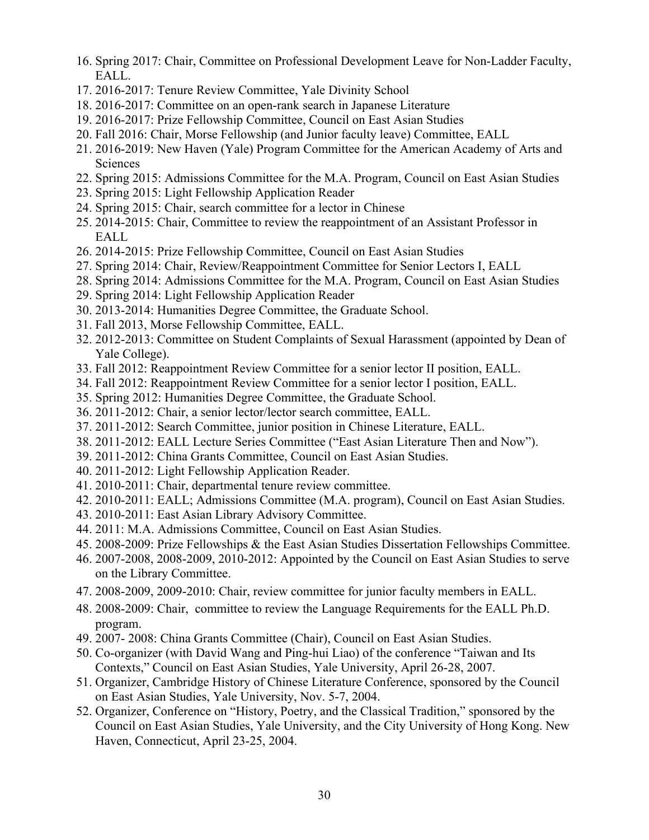- 16. Spring 2017: Chair, Committee on Professional Development Leave for Non-Ladder Faculty, EALL.
- 17. 2016-2017: Tenure Review Committee, Yale Divinity School
- 18. 2016-2017: Committee on an open-rank search in Japanese Literature
- 19. 2016-2017: Prize Fellowship Committee, Council on East Asian Studies
- 20. Fall 2016: Chair, Morse Fellowship (and Junior faculty leave) Committee, EALL
- 21. 2016-2019: New Haven (Yale) Program Committee for the American Academy of Arts and Sciences
- 22. Spring 2015: Admissions Committee for the M.A. Program, Council on East Asian Studies
- 23. Spring 2015: Light Fellowship Application Reader
- 24. Spring 2015: Chair, search committee for a lector in Chinese
- 25. 2014-2015: Chair, Committee to review the reappointment of an Assistant Professor in EALL
- 26. 2014-2015: Prize Fellowship Committee, Council on East Asian Studies
- 27. Spring 2014: Chair, Review/Reappointment Committee for Senior Lectors I, EALL
- 28. Spring 2014: Admissions Committee for the M.A. Program, Council on East Asian Studies
- 29. Spring 2014: Light Fellowship Application Reader
- 30. 2013-2014: Humanities Degree Committee, the Graduate School.
- 31. Fall 2013, Morse Fellowship Committee, EALL.
- 32. 2012-2013: Committee on Student Complaints of Sexual Harassment (appointed by Dean of Yale College).
- 33. Fall 2012: Reappointment Review Committee for a senior lector II position, EALL.
- 34. Fall 2012: Reappointment Review Committee for a senior lector I position, EALL.
- 35. Spring 2012: Humanities Degree Committee, the Graduate School.
- 36. 2011-2012: Chair, a senior lector/lector search committee, EALL.
- 37. 2011-2012: Search Committee, junior position in Chinese Literature, EALL.
- 38. 2011-2012: EALL Lecture Series Committee ("East Asian Literature Then and Now").
- 39. 2011-2012: China Grants Committee, Council on East Asian Studies.
- 40. 2011-2012: Light Fellowship Application Reader.
- 41. 2010-2011: Chair, departmental tenure review committee.
- 42. 2010-2011: EALL; Admissions Committee (M.A. program), Council on East Asian Studies.
- 43. 2010-2011: East Asian Library Advisory Committee.
- 44. 2011: M.A. Admissions Committee, Council on East Asian Studies.
- 45. 2008-2009: Prize Fellowships & the East Asian Studies Dissertation Fellowships Committee.
- 46. 2007-2008, 2008-2009, 2010-2012: Appointed by the Council on East Asian Studies to serve on the Library Committee.
- 47. 2008-2009, 2009-2010: Chair, review committee for junior faculty members in EALL.
- 48. 2008-2009: Chair, committee to review the Language Requirements for the EALL Ph.D. program.
- 49. 2007- 2008: China Grants Committee (Chair), Council on East Asian Studies.
- 50. Co-organizer (with David Wang and Ping-hui Liao) of the conference "Taiwan and Its Contexts," Council on East Asian Studies, Yale University, April 26-28, 2007.
- 51. Organizer, Cambridge History of Chinese Literature Conference, sponsored by the Council on East Asian Studies, Yale University, Nov. 5-7, 2004.
- 52. Organizer, Conference on "History, Poetry, and the Classical Tradition," sponsored by the Council on East Asian Studies, Yale University, and the City University of Hong Kong. New Haven, Connecticut, April 23-25, 2004.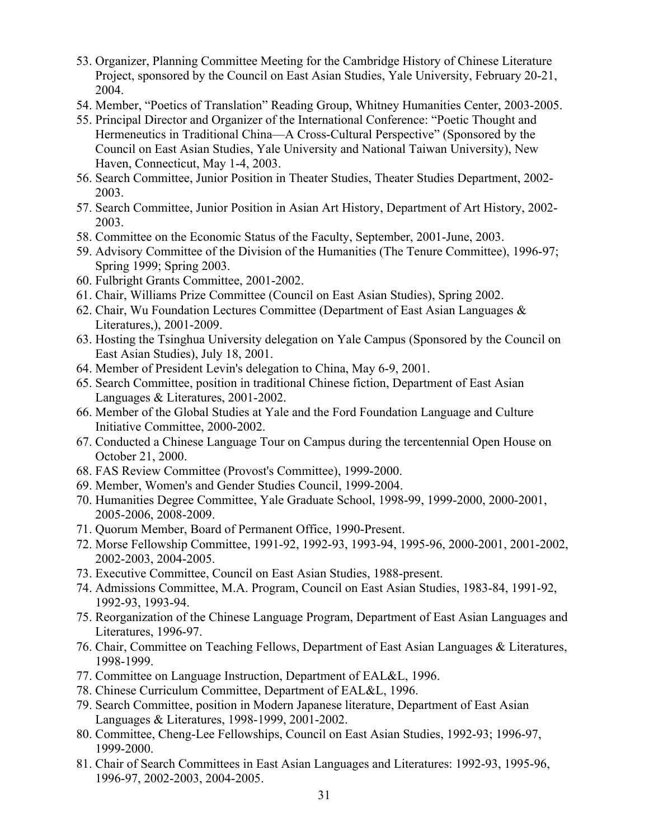- 53. Organizer, Planning Committee Meeting for the Cambridge History of Chinese Literature Project, sponsored by the Council on East Asian Studies, Yale University, February 20-21, 2004.
- 54. Member, "Poetics of Translation" Reading Group, Whitney Humanities Center, 2003-2005.
- 55. Principal Director and Organizer of the International Conference: "Poetic Thought and Hermeneutics in Traditional China—A Cross-Cultural Perspective" (Sponsored by the Council on East Asian Studies, Yale University and National Taiwan University), New Haven, Connecticut, May 1-4, 2003.
- 56. Search Committee, Junior Position in Theater Studies, Theater Studies Department, 2002- 2003.
- 57. Search Committee, Junior Position in Asian Art History, Department of Art History, 2002- 2003.
- 58. Committee on the Economic Status of the Faculty, September, 2001-June, 2003.
- 59. Advisory Committee of the Division of the Humanities (The Tenure Committee), 1996-97; Spring 1999; Spring 2003.
- 60. Fulbright Grants Committee, 2001-2002.
- 61. Chair, Williams Prize Committee (Council on East Asian Studies), Spring 2002.
- 62. Chair, Wu Foundation Lectures Committee (Department of East Asian Languages & Literatures,), 2001-2009.
- 63. Hosting the Tsinghua University delegation on Yale Campus (Sponsored by the Council on East Asian Studies), July 18, 2001.
- 64. Member of President Levin's delegation to China, May 6-9, 2001.
- 65. Search Committee, position in traditional Chinese fiction, Department of East Asian Languages & Literatures, 2001-2002.
- 66. Member of the Global Studies at Yale and the Ford Foundation Language and Culture Initiative Committee, 2000-2002.
- 67. Conducted a Chinese Language Tour on Campus during the tercentennial Open House on October 21, 2000.
- 68. FAS Review Committee (Provost's Committee), 1999-2000.
- 69. Member, Women's and Gender Studies Council, 1999-2004.
- 70. Humanities Degree Committee, Yale Graduate School, 1998-99, 1999-2000, 2000-2001, 2005-2006, 2008-2009.
- 71. Quorum Member, Board of Permanent Office, 1990-Present.
- 72. Morse Fellowship Committee, 1991-92, 1992-93, 1993-94, 1995-96, 2000-2001, 2001-2002, 2002-2003, 2004-2005.
- 73. Executive Committee, Council on East Asian Studies, 1988-present.
- 74. Admissions Committee, M.A. Program, Council on East Asian Studies, 1983-84, 1991-92, 1992-93, 1993-94.
- 75. Reorganization of the Chinese Language Program, Department of East Asian Languages and Literatures, 1996-97.
- 76. Chair, Committee on Teaching Fellows, Department of East Asian Languages & Literatures, 1998-1999.
- 77. Committee on Language Instruction, Department of EAL&L, 1996.
- 78. Chinese Curriculum Committee, Department of EAL&L, 1996.
- 79. Search Committee, position in Modern Japanese literature, Department of East Asian Languages & Literatures, 1998-1999, 2001-2002.
- 80. Committee, Cheng-Lee Fellowships, Council on East Asian Studies, 1992-93; 1996-97, 1999-2000.
- 81. Chair of Search Committees in East Asian Languages and Literatures: 1992-93, 1995-96, 1996-97, 2002-2003, 2004-2005.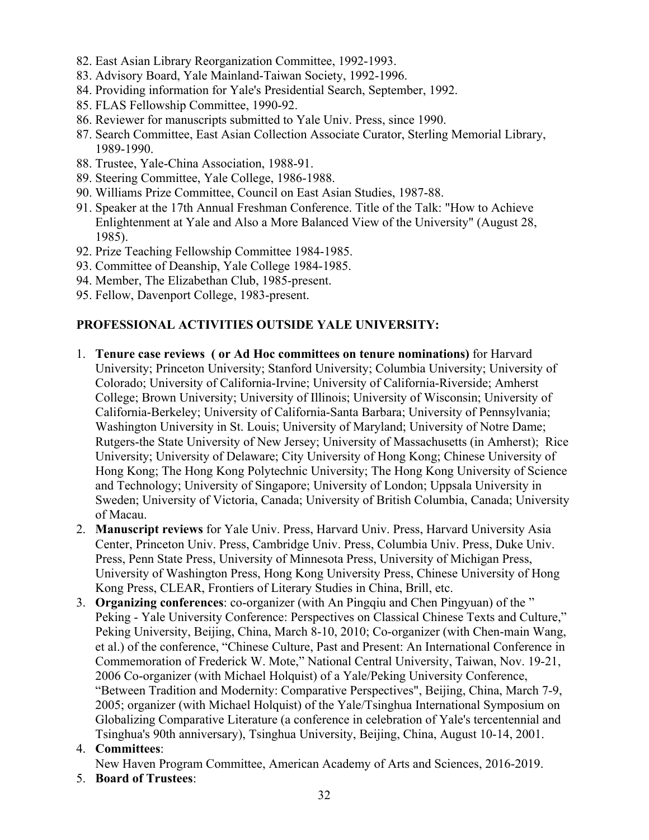- 82. East Asian Library Reorganization Committee, 1992-1993.
- 83. Advisory Board, Yale Mainland-Taiwan Society, 1992-1996.
- 84. Providing information for Yale's Presidential Search, September, 1992.
- 85. FLAS Fellowship Committee, 1990-92.
- 86. Reviewer for manuscripts submitted to Yale Univ. Press, since 1990.
- 87. Search Committee, East Asian Collection Associate Curator, Sterling Memorial Library, 1989-1990.
- 88. Trustee, Yale-China Association, 1988-91.
- 89. Steering Committee, Yale College, 1986-1988.
- 90. Williams Prize Committee, Council on East Asian Studies, 1987-88.
- 91. Speaker at the 17th Annual Freshman Conference. Title of the Talk: "How to Achieve Enlightenment at Yale and Also a More Balanced View of the University" (August 28, 1985).
- 92. Prize Teaching Fellowship Committee 1984-1985.
- 93. Committee of Deanship, Yale College 1984-1985.
- 94. Member, The Elizabethan Club, 1985-present.
- 95. Fellow, Davenport College, 1983-present.

# **PROFESSIONAL ACTIVITIES OUTSIDE YALE UNIVERSITY:**

- 1. **Tenure case reviews ( or Ad Hoc committees on tenure nominations)** for Harvard University; Princeton University; Stanford University; Columbia University; University of Colorado; University of California-Irvine; University of California-Riverside; Amherst College; Brown University; University of Illinois; University of Wisconsin; University of California-Berkeley; University of California-Santa Barbara; University of Pennsylvania; Washington University in St. Louis; University of Maryland; University of Notre Dame; Rutgers-the State University of New Jersey; University of Massachusetts (in Amherst); Rice University; University of Delaware; City University of Hong Kong; Chinese University of Hong Kong; The Hong Kong Polytechnic University; The Hong Kong University of Science and Technology; University of Singapore; University of London; Uppsala University in Sweden; University of Victoria, Canada; University of British Columbia, Canada; University of Macau.
- 2. **Manuscript reviews** for Yale Univ. Press, Harvard Univ. Press, Harvard University Asia Center, Princeton Univ. Press, Cambridge Univ. Press, Columbia Univ. Press, Duke Univ. Press, Penn State Press, University of Minnesota Press, University of Michigan Press, University of Washington Press, Hong Kong University Press, Chinese University of Hong Kong Press, CLEAR, Frontiers of Literary Studies in China, Brill, etc.
- 3. **Organizing conferences**: co-organizer (with An Pingqiu and Chen Pingyuan) of the " Peking - Yale University Conference: Perspectives on Classical Chinese Texts and Culture," Peking University, Beijing, China, March 8-10, 2010; Co-organizer (with Chen-main Wang, et al.) of the conference, "Chinese Culture, Past and Present: An International Conference in Commemoration of Frederick W. Mote," National Central University, Taiwan, Nov. 19-21, 2006 Co-organizer (with Michael Holquist) of a Yale/Peking University Conference, "Between Tradition and Modernity: Comparative Perspectives", Beijing, China, March 7-9, 2005; organizer (with Michael Holquist) of the Yale/Tsinghua International Symposium on Globalizing Comparative Literature (a conference in celebration of Yale's tercentennial and Tsinghua's 90th anniversary), Tsinghua University, Beijing, China, August 10-14, 2001.

# 4. **Committees**:

New Haven Program Committee, American Academy of Arts and Sciences, 2016-2019.

5. **Board of Trustees**: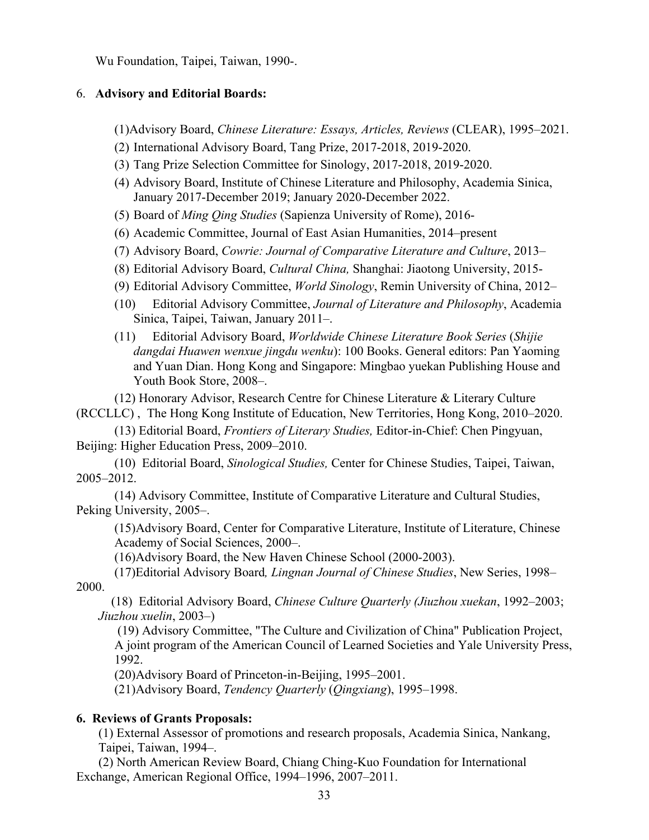Wu Foundation, Taipei, Taiwan, 1990-.

## 6. **Advisory and Editorial Boards:**

(1)Advisory Board, *Chinese Literature: Essays, Articles, Reviews* (CLEAR), 1995–2021.

- (2) International Advisory Board, Tang Prize, 2017-2018, 2019-2020.
- (3) Tang Prize Selection Committee for Sinology, 2017-2018, 2019-2020.
- (4) Advisory Board, Institute of Chinese Literature and Philosophy, Academia Sinica, January 2017-December 2019; January 2020-December 2022.
- (5) Board of *Ming Qing Studies* (Sapienza University of Rome), 2016-
- (6) Academic Committee, Journal of East Asian Humanities, 2014–present
- (7) Advisory Board, *Cowrie: Journal of Comparative Literature and Culture*, 2013–
- (8) Editorial Advisory Board, *Cultural China,* Shanghai: Jiaotong University, 2015-
- (9) Editorial Advisory Committee, *World Sinology*, Remin University of China, 2012–
- (10) Editorial Advisory Committee, *Journal of Literature and Philosophy*, Academia Sinica, Taipei, Taiwan, January 2011–.
- (11) Editorial Advisory Board, *Worldwide Chinese Literature Book Series* (*Shijie dangdai Huawen wenxue jingdu wenku*): 100 Books. General editors: Pan Yaoming and Yuan Dian. Hong Kong and Singapore: Mingbao yuekan Publishing House and Youth Book Store, 2008–.

(12) Honorary Advisor, Research Centre for Chinese Literature & Literary Culture (RCCLLC) , The Hong Kong Institute of Education, New Territories, Hong Kong, 2010–2020.

(13) Editorial Board, *Frontiers of Literary Studies,* Editor-in-Chief: Chen Pingyuan, Beijing: Higher Education Press, 2009–2010.

(10) Editorial Board, *Sinological Studies,* Center for Chinese Studies, Taipei, Taiwan, 2005–2012.

(14) Advisory Committee, Institute of Comparative Literature and Cultural Studies, Peking University, 2005–.

(15)Advisory Board, Center for Comparative Literature, Institute of Literature, Chinese Academy of Social Sciences, 2000–.

(16)Advisory Board, the New Haven Chinese School (2000-2003).

 (17)Editorial Advisory Board*, Lingnan Journal of Chinese Studies*, New Series, 1998– 2000.

 (18) Editorial Advisory Board, *Chinese Culture Quarterly (Jiuzhou xuekan*, 1992–2003; *Jiuzhou xuelin*, 2003–)

(19) Advisory Committee, "The Culture and Civilization of China" Publication Project, A joint program of the American Council of Learned Societies and Yale University Press, 1992.

(20)Advisory Board of Princeton-in-Beijing, 1995–2001.

(21)Advisory Board, *Tendency Quarterly* (*Qingxiang*), 1995–1998.

#### **6. Reviews of Grants Proposals:**

(1) External Assessor of promotions and research proposals, Academia Sinica, Nankang, Taipei, Taiwan, 1994–.

(2) North American Review Board, Chiang Ching-Kuo Foundation for International Exchange, American Regional Office, 1994–1996, 2007–2011.